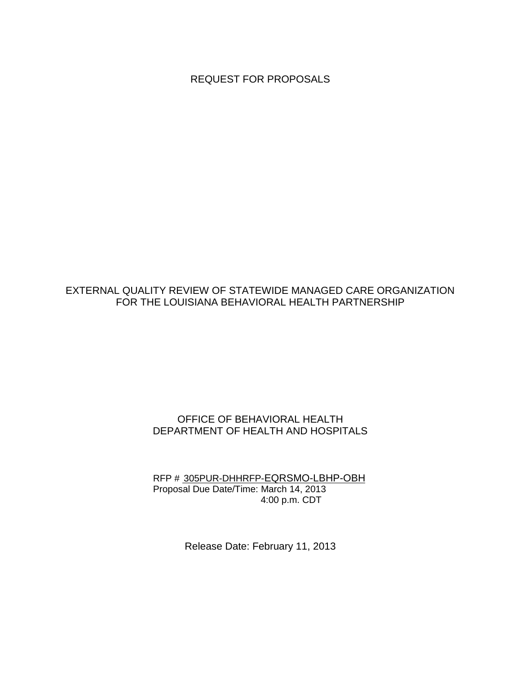REQUEST FOR PROPOSALS

# EXTERNAL QUALITY REVIEW OF STATEWIDE MANAGED CARE ORGANIZATION FOR THE LOUISIANA BEHAVIORAL HEALTH PARTNERSHIP

## OFFICE OF BEHAVIORAL HEALTH DEPARTMENT OF HEALTH AND HOSPITALS

RFP # 305PUR-DHHRFP-EQRSMO-LBHP-OBH Proposal Due Date/Time: March 14, 2013 4:00 p.m. CDT

Release Date: February 11, 2013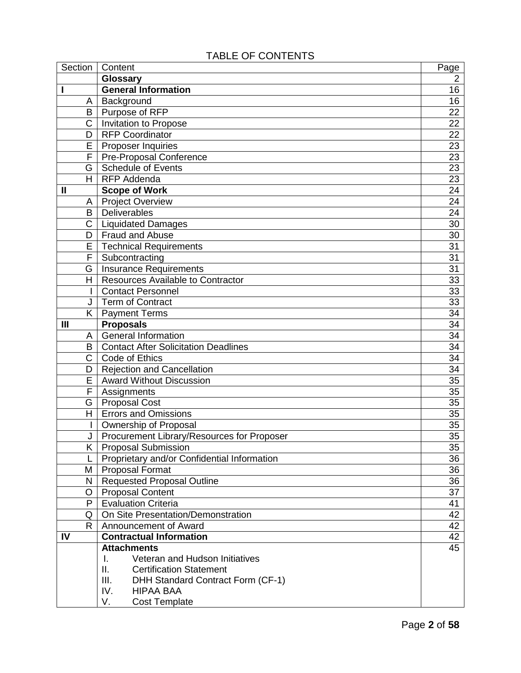# TABLE OF CONTENTS

| Section               | Content                                     | Page            |
|-----------------------|---------------------------------------------|-----------------|
|                       | Glossary                                    |                 |
| I                     | <b>General Information</b>                  |                 |
| A                     | Background                                  | 16              |
| B                     | Purpose of RFP                              | 22              |
| $\overline{\text{C}}$ | <b>Invitation to Propose</b>                | 22              |
| D                     | <b>RFP Coordinator</b>                      | 22              |
| E                     | Proposer Inquiries                          | 23              |
| F                     | <b>Pre-Proposal Conference</b>              | 23              |
| G                     | Schedule of Events                          | 23              |
| H.                    | <b>RFP Addenda</b>                          | 23              |
| $\mathbf{I}$          | <b>Scope of Work</b>                        | 24              |
| A                     | <b>Project Overview</b>                     | 24              |
| B                     | Deliverables                                | 24              |
| C                     | <b>Liquidated Damages</b>                   | 30              |
| D                     | <b>Fraud and Abuse</b>                      | 30              |
| E                     | <b>Technical Requirements</b>               | 31              |
| F                     | Subcontracting                              | $\overline{31}$ |
| G                     | <b>Insurance Requirements</b>               | 31              |
| H.                    | <b>Resources Available to Contractor</b>    | 33              |
| L                     | <b>Contact Personnel</b>                    | 33              |
| J                     | <b>Term of Contract</b>                     | 33              |
| K.                    | <b>Payment Terms</b>                        | 34              |
| $\mathbf{III}$        | <b>Proposals</b>                            | 34              |
| A                     | <b>General Information</b>                  | 34              |
| B                     | <b>Contact After Solicitation Deadlines</b> | 34              |
| C                     | Code of Ethics                              | 34              |
| D                     | <b>Rejection and Cancellation</b>           | 34              |
| E                     | <b>Award Without Discussion</b>             | 35              |
| F                     | Assignments                                 | 35              |
| G                     | <b>Proposal Cost</b>                        | 35              |
| H.                    | <b>Errors and Omissions</b>                 | 35              |
| I                     | Ownership of Proposal                       | 35              |
| J                     | Procurement Library/Resources for Proposer  | $\overline{35}$ |
| ĸ.                    | <b>Proposal Submission</b>                  |                 |
|                       | Proprietary and/or Confidential Information | 36              |
| Μ                     | <b>Proposal Format</b>                      | 36              |
| N                     | <b>Requested Proposal Outline</b>           | 36              |
| O                     | <b>Proposal Content</b>                     | 37              |
| P                     | <b>Evaluation Criteria</b>                  | 41              |
| Q                     | On Site Presentation/Demonstration          | 42              |
| R.                    | Announcement of Award                       | 42              |
| IV                    | <b>Contractual Information</b>              | 42              |
|                       | <b>Attachments</b>                          | 45              |
|                       | Veteran and Hudson Initiatives<br>I.        |                 |
|                       | <b>Certification Statement</b><br>Ш.        |                 |
|                       | III.<br>DHH Standard Contract Form (CF-1)   |                 |
|                       | IV.<br><b>HIPAA BAA</b>                     |                 |
|                       | V.<br><b>Cost Template</b>                  |                 |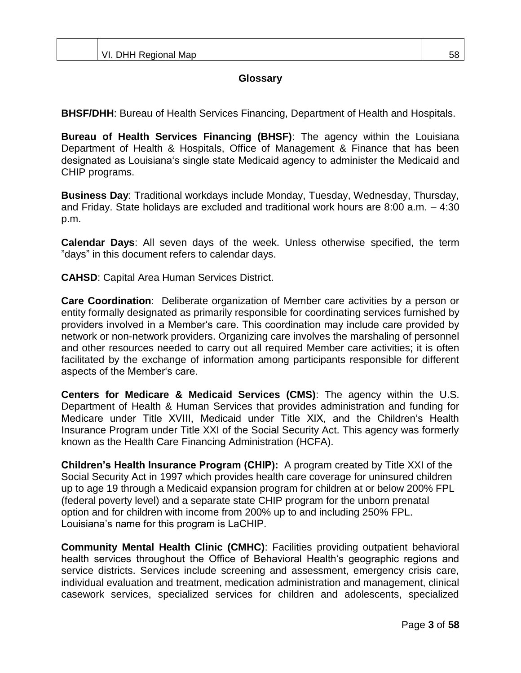## **Glossary**

**BHSF/DHH**: Bureau of Health Services Financing, Department of Health and Hospitals.

**Bureau of Health Services Financing (BHSF)**: The agency within the Louisiana Department of Health & Hospitals, Office of Management & Finance that has been designated as Louisiana"s single state Medicaid agency to administer the Medicaid and CHIP programs.

**Business Day**: Traditional workdays include Monday, Tuesday, Wednesday, Thursday, and Friday. State holidays are excluded and traditional work hours are 8:00 a.m. – 4:30 p.m.

**Calendar Days**: All seven days of the week. Unless otherwise specified, the term "days" in this document refers to calendar days.

**CAHSD**: Capital Area Human Services District.

**Care Coordination**: Deliberate organization of Member care activities by a person or entity formally designated as primarily responsible for coordinating services furnished by providers involved in a Member"s care. This coordination may include care provided by network or non-network providers. Organizing care involves the marshaling of personnel and other resources needed to carry out all required Member care activities; it is often facilitated by the exchange of information among participants responsible for different aspects of the Member"s care.

**Centers for Medicare & Medicaid Services (CMS)**: The agency within the U.S. Department of Health & Human Services that provides administration and funding for Medicare under Title XVIII, Medicaid under Title XIX, and the Children"s Health Insurance Program under Title XXI of the Social Security Act. This agency was formerly known as the Health Care Financing Administration (HCFA).

**Children's Health Insurance Program (CHIP):** A program created by Title XXI of the Social Security Act in 1997 which provides health care coverage for uninsured children up to age 19 through a Medicaid expansion program for children at or below 200% FPL (federal poverty level) and a separate state CHIP program for the unborn prenatal option and for children with income from 200% up to and including 250% FPL. Louisiana"s name for this program is LaCHIP.

**Community Mental Health Clinic (CMHC)**: Facilities providing outpatient behavioral health services throughout the Office of Behavioral Health"s geographic regions and service districts. Services include screening and assessment, emergency crisis care, individual evaluation and treatment, medication administration and management, clinical casework services, specialized services for children and adolescents, specialized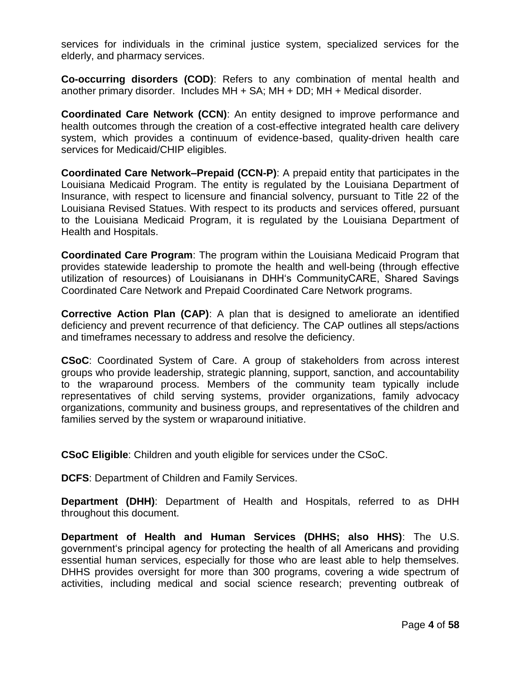services for individuals in the criminal justice system, specialized services for the elderly, and pharmacy services.

**Co-occurring disorders (COD)**: Refers to any combination of mental health and another primary disorder. Includes MH + SA; MH + DD; MH + Medical disorder.

**Coordinated Care Network (CCN)**: An entity designed to improve performance and health outcomes through the creation of a cost-effective integrated health care delivery system, which provides a continuum of evidence-based, quality-driven health care services for Medicaid/CHIP eligibles.

**Coordinated Care Network–Prepaid (CCN-P)**: A prepaid entity that participates in the Louisiana Medicaid Program. The entity is regulated by the Louisiana Department of Insurance, with respect to licensure and financial solvency, pursuant to Title 22 of the Louisiana Revised Statues. With respect to its products and services offered, pursuant to the Louisiana Medicaid Program, it is regulated by the Louisiana Department of Health and Hospitals.

**Coordinated Care Program**: The program within the Louisiana Medicaid Program that provides statewide leadership to promote the health and well-being (through effective utilization of resources) of Louisianans in DHH"s CommunityCARE, Shared Savings Coordinated Care Network and Prepaid Coordinated Care Network programs.

**Corrective Action Plan (CAP)**: A plan that is designed to ameliorate an identified deficiency and prevent recurrence of that deficiency. The CAP outlines all steps/actions and timeframes necessary to address and resolve the deficiency.

**CSoC**: Coordinated System of Care. A group of stakeholders from across interest groups who provide leadership, strategic planning, support, sanction, and accountability to the wraparound process. Members of the community team typically include representatives of child serving systems, provider organizations, family advocacy organizations, community and business groups, and representatives of the children and families served by the system or wraparound initiative.

**CSoC Eligible**: Children and youth eligible for services under the CSoC.

**DCFS**: Department of Children and Family Services.

**Department (DHH)**: Department of Health and Hospitals, referred to as DHH throughout this document.

**Department of Health and Human Services (DHHS; also HHS)**: The U.S. government"s principal agency for protecting the health of all Americans and providing essential human services, especially for those who are least able to help themselves. DHHS provides oversight for more than 300 programs, covering a wide spectrum of activities, including medical and social science research; preventing outbreak of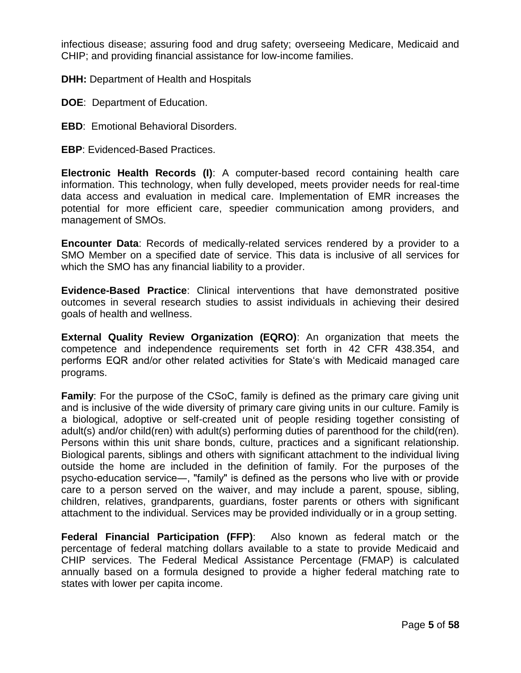infectious disease; assuring food and drug safety; overseeing Medicare, Medicaid and CHIP; and providing financial assistance for low-income families.

**DHH: Department of Health and Hospitals** 

- **DOE**: Department of Education.
- **EBD**: Emotional Behavioral Disorders.
- **EBP**: Evidenced-Based Practices.

**Electronic Health Records (I)**: A computer-based record containing health care information. This technology, when fully developed, meets provider needs for real-time data access and evaluation in medical care. Implementation of EMR increases the potential for more efficient care, speedier communication among providers, and management of SMOs.

**Encounter Data**: Records of medically-related services rendered by a provider to a SMO Member on a specified date of service. This data is inclusive of all services for which the SMO has any financial liability to a provider.

**Evidence-Based Practice**: Clinical interventions that have demonstrated positive outcomes in several research studies to assist individuals in achieving their desired goals of health and wellness.

**External Quality Review Organization (EQRO)**: An organization that meets the competence and independence requirements set forth in 42 CFR 438.354, and performs EQR and/or other related activities for State"s with Medicaid managed care programs.

**Family**: For the purpose of the CSoC, family is defined as the primary care giving unit and is inclusive of the wide diversity of primary care giving units in our culture. Family is a biological, adoptive or self-created unit of people residing together consisting of adult(s) and/or child(ren) with adult(s) performing duties of parenthood for the child(ren). Persons within this unit share bonds, culture, practices and a significant relationship. Biological parents, siblings and others with significant attachment to the individual living outside the home are included in the definition of family. For the purposes of the psycho-education service―, "family" is defined as the persons who live with or provide care to a person served on the waiver, and may include a parent, spouse, sibling, children, relatives, grandparents, guardians, foster parents or others with significant attachment to the individual. Services may be provided individually or in a group setting.

**Federal Financial Participation (FFP)**: Also known as federal match or the percentage of federal matching dollars available to a state to provide Medicaid and CHIP services. The Federal Medical Assistance Percentage (FMAP) is calculated annually based on a formula designed to provide a higher federal matching rate to states with lower per capita income.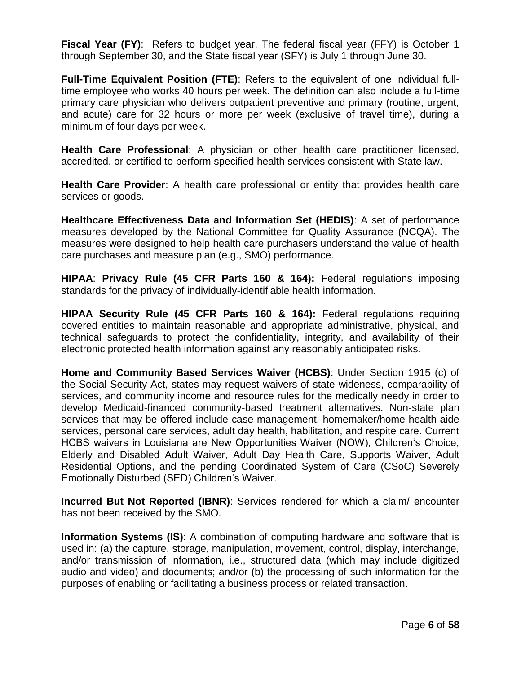**Fiscal Year (FY)**: Refers to budget year. The federal fiscal year (FFY) is October 1 through September 30, and the State fiscal year (SFY) is July 1 through June 30.

**Full-Time Equivalent Position (FTE)**: Refers to the equivalent of one individual fulltime employee who works 40 hours per week. The definition can also include a full-time primary care physician who delivers outpatient preventive and primary (routine, urgent, and acute) care for 32 hours or more per week (exclusive of travel time), during a minimum of four days per week.

**Health Care Professional**: A physician or other health care practitioner licensed, accredited, or certified to perform specified health services consistent with State law.

**Health Care Provider**: A health care professional or entity that provides health care services or goods.

**Healthcare Effectiveness Data and Information Set (HEDIS)**: A set of performance measures developed by the National Committee for Quality Assurance (NCQA). The measures were designed to help health care purchasers understand the value of health care purchases and measure plan (e.g., SMO) performance.

**HIPAA**: **Privacy Rule (45 CFR Parts 160 & 164):** Federal regulations imposing standards for the privacy of individually-identifiable health information.

**HIPAA Security Rule (45 CFR Parts 160 & 164):** Federal regulations requiring covered entities to maintain reasonable and appropriate administrative, physical, and technical safeguards to protect the confidentiality, integrity, and availability of their electronic protected health information against any reasonably anticipated risks.

**Home and Community Based Services Waiver (HCBS)**: Under Section 1915 (c) of the Social Security Act, states may request waivers of state-wideness, comparability of services, and community income and resource rules for the medically needy in order to develop Medicaid-financed community-based treatment alternatives. Non-state plan services that may be offered include case management, homemaker/home health aide services, personal care services, adult day health, habilitation, and respite care. Current HCBS waivers in Louisiana are New Opportunities Waiver (NOW), Children"s Choice, Elderly and Disabled Adult Waiver, Adult Day Health Care, Supports Waiver, Adult Residential Options, and the pending Coordinated System of Care (CSoC) Severely Emotionally Disturbed (SED) Children's Waiver.

**Incurred But Not Reported (IBNR)**: Services rendered for which a claim/ encounter has not been received by the SMO.

**Information Systems (IS)**: A combination of computing hardware and software that is used in: (a) the capture, storage, manipulation, movement, control, display, interchange, and/or transmission of information, i.e., structured data (which may include digitized audio and video) and documents; and/or (b) the processing of such information for the purposes of enabling or facilitating a business process or related transaction.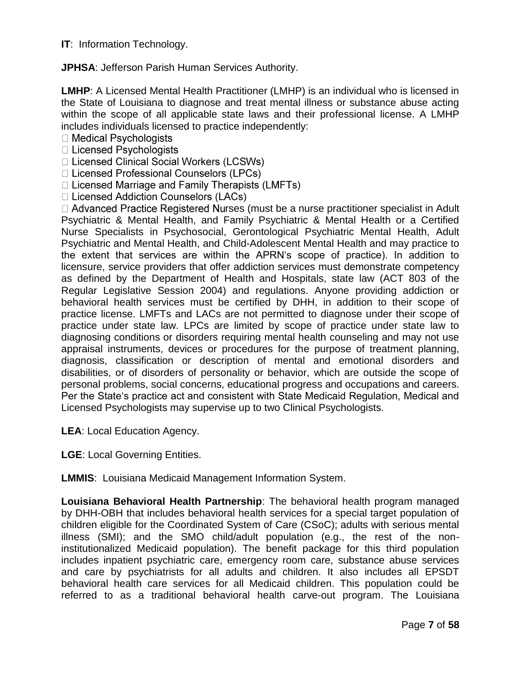**IT**: Information Technology.

**JPHSA**: Jefferson Parish Human Services Authority.

**LMHP**: A Licensed Mental Health Practitioner (LMHP) is an individual who is licensed in the State of Louisiana to diagnose and treat mental illness or substance abuse acting within the scope of all applicable state laws and their professional license. A LMHP includes individuals licensed to practice independently:

 $\Box$  Medical Psychologists

□ Licensed Psychologists

□ Licensed Clinical Social Workers (LCSWs)

□ Licensed Professional Counselors (LPCs)

 $\Box$  Licensed Marriage and Family Therapists (LMFTs)

□ Licensed Addiction Counselors (LACs)

 $\Box$  Advanced Practice Registered Nurses (must be a nurse practitioner specialist in Adult Psychiatric & Mental Health, and Family Psychiatric & Mental Health or a Certified Nurse Specialists in Psychosocial, Gerontological Psychiatric Mental Health, Adult Psychiatric and Mental Health, and Child-Adolescent Mental Health and may practice to the extent that services are within the APRN"s scope of practice). In addition to licensure, service providers that offer addiction services must demonstrate competency as defined by the Department of Health and Hospitals, state law (ACT 803 of the Regular Legislative Session 2004) and regulations. Anyone providing addiction or behavioral health services must be certified by DHH, in addition to their scope of practice license. LMFTs and LACs are not permitted to diagnose under their scope of practice under state law. LPCs are limited by scope of practice under state law to diagnosing conditions or disorders requiring mental health counseling and may not use appraisal instruments, devices or procedures for the purpose of treatment planning, diagnosis, classification or description of mental and emotional disorders and disabilities, or of disorders of personality or behavior, which are outside the scope of personal problems, social concerns, educational progress and occupations and careers. Per the State"s practice act and consistent with State Medicaid Regulation, Medical and Licensed Psychologists may supervise up to two Clinical Psychologists.

**LEA**: Local Education Agency.

**LGE**: Local Governing Entities.

**LMMIS**: Louisiana Medicaid Management Information System.

**Louisiana Behavioral Health Partnership**: The behavioral health program managed by DHH-OBH that includes behavioral health services for a special target population of children eligible for the Coordinated System of Care (CSoC); adults with serious mental illness (SMI); and the SMO child/adult population (e.g., the rest of the noninstitutionalized Medicaid population). The benefit package for this third population includes inpatient psychiatric care, emergency room care, substance abuse services and care by psychiatrists for all adults and children. It also includes all EPSDT behavioral health care services for all Medicaid children. This population could be referred to as a traditional behavioral health carve-out program. The Louisiana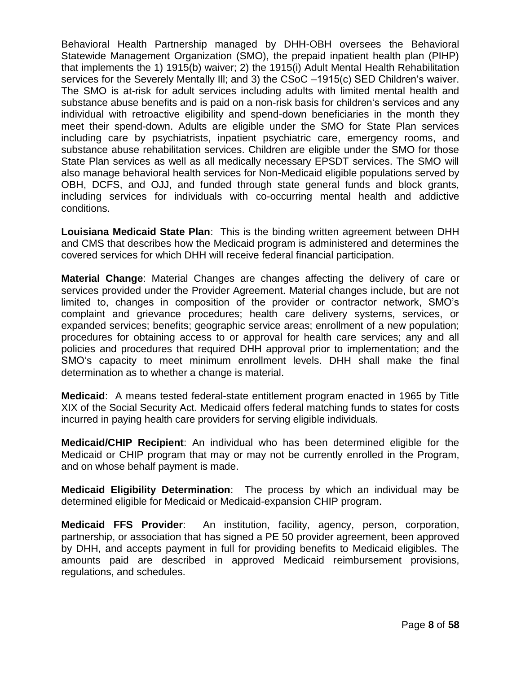Behavioral Health Partnership managed by DHH-OBH oversees the Behavioral Statewide Management Organization (SMO), the prepaid inpatient health plan (PIHP) that implements the 1) 1915(b) waiver; 2) the 1915(i) Adult Mental Health Rehabilitation services for the Severely Mentally Ill; and 3) the CSoC –1915(c) SED Children"s waiver. The SMO is at-risk for adult services including adults with limited mental health and substance abuse benefits and is paid on a non-risk basis for children's services and any individual with retroactive eligibility and spend-down beneficiaries in the month they meet their spend-down. Adults are eligible under the SMO for State Plan services including care by psychiatrists, inpatient psychiatric care, emergency rooms, and substance abuse rehabilitation services. Children are eligible under the SMO for those State Plan services as well as all medically necessary EPSDT services. The SMO will also manage behavioral health services for Non-Medicaid eligible populations served by OBH, DCFS, and OJJ, and funded through state general funds and block grants, including services for individuals with co-occurring mental health and addictive conditions.

**Louisiana Medicaid State Plan**: This is the binding written agreement between DHH and CMS that describes how the Medicaid program is administered and determines the covered services for which DHH will receive federal financial participation.

**Material Change**: Material Changes are changes affecting the delivery of care or services provided under the Provider Agreement. Material changes include, but are not limited to, changes in composition of the provider or contractor network, SMO"s complaint and grievance procedures; health care delivery systems, services, or expanded services; benefits; geographic service areas; enrollment of a new population; procedures for obtaining access to or approval for health care services; any and all policies and procedures that required DHH approval prior to implementation; and the SMO"s capacity to meet minimum enrollment levels. DHH shall make the final determination as to whether a change is material.

**Medicaid**: A means tested federal-state entitlement program enacted in 1965 by Title XIX of the Social Security Act. Medicaid offers federal matching funds to states for costs incurred in paying health care providers for serving eligible individuals.

**Medicaid/CHIP Recipient**: An individual who has been determined eligible for the Medicaid or CHIP program that may or may not be currently enrolled in the Program, and on whose behalf payment is made.

**Medicaid Eligibility Determination**: The process by which an individual may be determined eligible for Medicaid or Medicaid-expansion CHIP program.

**Medicaid FFS Provider**: An institution, facility, agency, person, corporation, partnership, or association that has signed a PE 50 provider agreement, been approved by DHH, and accepts payment in full for providing benefits to Medicaid eligibles. The amounts paid are described in approved Medicaid reimbursement provisions, regulations, and schedules.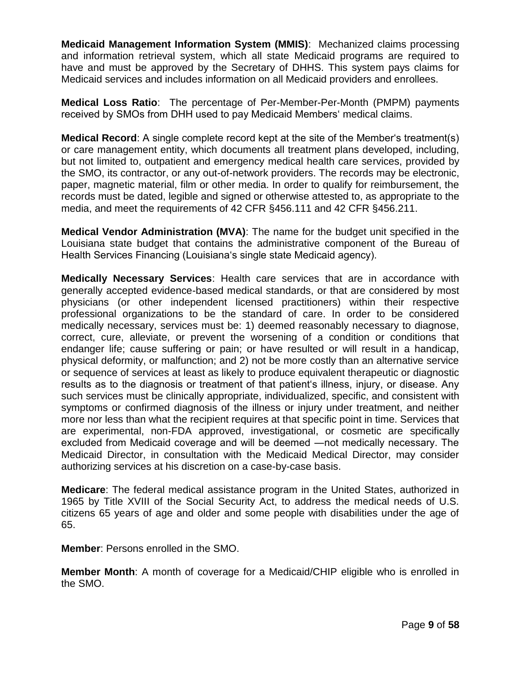**Medicaid Management Information System (MMIS)**: Mechanized claims processing and information retrieval system, which all state Medicaid programs are required to have and must be approved by the Secretary of DHHS. This system pays claims for Medicaid services and includes information on all Medicaid providers and enrollees.

**Medical Loss Ratio**: The percentage of Per-Member-Per-Month (PMPM) payments received by SMOs from DHH used to pay Medicaid Members' medical claims.

**Medical Record:** A single complete record kept at the site of the Member's treatment(s) or care management entity, which documents all treatment plans developed, including, but not limited to, outpatient and emergency medical health care services, provided by the SMO, its contractor, or any out-of-network providers. The records may be electronic, paper, magnetic material, film or other media. In order to qualify for reimbursement, the records must be dated, legible and signed or otherwise attested to, as appropriate to the media, and meet the requirements of 42 CFR §456.111 and 42 CFR §456.211.

**Medical Vendor Administration (MVA)**: The name for the budget unit specified in the Louisiana state budget that contains the administrative component of the Bureau of Health Services Financing (Louisiana"s single state Medicaid agency).

**Medically Necessary Services**: Health care services that are in accordance with generally accepted evidence-based medical standards, or that are considered by most physicians (or other independent licensed practitioners) within their respective professional organizations to be the standard of care. In order to be considered medically necessary, services must be: 1) deemed reasonably necessary to diagnose, correct, cure, alleviate, or prevent the worsening of a condition or conditions that endanger life; cause suffering or pain; or have resulted or will result in a handicap, physical deformity, or malfunction; and 2) not be more costly than an alternative service or sequence of services at least as likely to produce equivalent therapeutic or diagnostic results as to the diagnosis or treatment of that patient's illness, injury, or disease. Any such services must be clinically appropriate, individualized, specific, and consistent with symptoms or confirmed diagnosis of the illness or injury under treatment, and neither more nor less than what the recipient requires at that specific point in time. Services that are experimental, non-FDA approved, investigational, or cosmetic are specifically excluded from Medicaid coverage and will be deemed ―not medically necessary. The Medicaid Director, in consultation with the Medicaid Medical Director, may consider authorizing services at his discretion on a case-by-case basis.

**Medicare**: The federal medical assistance program in the United States, authorized in 1965 by Title XVIII of the Social Security Act, to address the medical needs of U.S. citizens 65 years of age and older and some people with disabilities under the age of 65.

**Member**: Persons enrolled in the SMO.

**Member Month**: A month of coverage for a Medicaid/CHIP eligible who is enrolled in the SMO.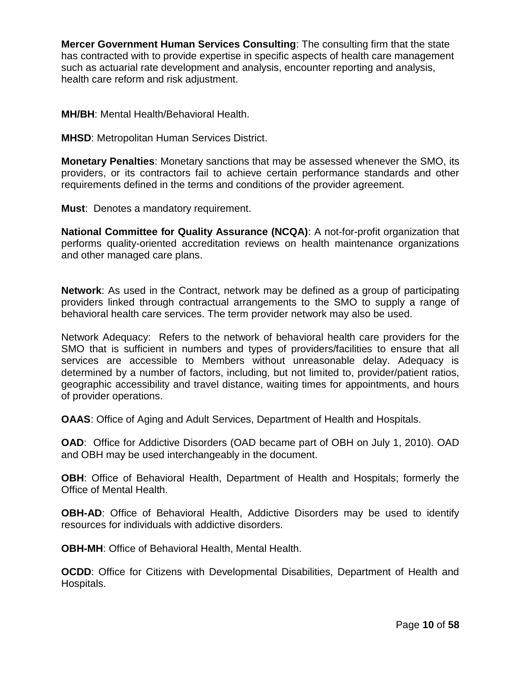**Mercer Government Human Services Consulting**: The consulting firm that the state has contracted with to provide expertise in specific aspects of health care management such as actuarial rate development and analysis, encounter reporting and analysis, health care reform and risk adjustment.

**MH/BH**: Mental Health/Behavioral Health.

**MHSD**: Metropolitan Human Services District.

**Monetary Penalties**: Monetary sanctions that may be assessed whenever the SMO, its providers, or its contractors fail to achieve certain performance standards and other requirements defined in the terms and conditions of the provider agreement.

**Must**: Denotes a mandatory requirement.

**National Committee for Quality Assurance (NCQA)**: A not-for-profit organization that performs quality-oriented accreditation reviews on health maintenance organizations and other managed care plans.

**Network**: As used in the Contract, network may be defined as a group of participating providers linked through contractual arrangements to the SMO to supply a range of behavioral health care services. The term provider network may also be used.

Network Adequacy: Refers to the network of behavioral health care providers for the SMO that is sufficient in numbers and types of providers/facilities to ensure that all services are accessible to Members without unreasonable delay. Adequacy is determined by a number of factors, including, but not limited to, provider/patient ratios, geographic accessibility and travel distance, waiting times for appointments, and hours of provider operations.

**OAAS**: Office of Aging and Adult Services, Department of Health and Hospitals.

**OAD**: Office for Addictive Disorders (OAD became part of OBH on July 1, 2010). OAD and OBH may be used interchangeably in the document.

**OBH**: Office of Behavioral Health, Department of Health and Hospitals; formerly the Office of Mental Health.

**OBH-AD:** Office of Behavioral Health, Addictive Disorders may be used to identify resources for individuals with addictive disorders.

**OBH-MH**: Office of Behavioral Health, Mental Health.

**OCDD**: Office for Citizens with Developmental Disabilities, Department of Health and Hospitals.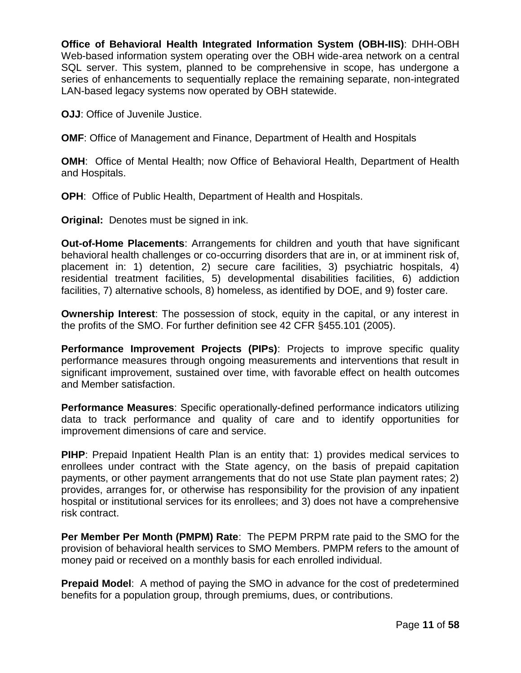**Office of Behavioral Health Integrated Information System (OBH-IIS)**: DHH-OBH Web-based information system operating over the OBH wide-area network on a central SQL server. This system, planned to be comprehensive in scope, has undergone a series of enhancements to sequentially replace the remaining separate, non-integrated LAN-based legacy systems now operated by OBH statewide.

**OJJ**: Office of Juvenile Justice.

**OMF**: Office of Management and Finance, Department of Health and Hospitals

**OMH**: Office of Mental Health; now Office of Behavioral Health, Department of Health and Hospitals.

**OPH**: Office of Public Health, Department of Health and Hospitals.

**Original:** Denotes must be signed in ink.

**Out-of-Home Placements**: Arrangements for children and youth that have significant behavioral health challenges or co-occurring disorders that are in, or at imminent risk of, placement in: 1) detention, 2) secure care facilities, 3) psychiatric hospitals, 4) residential treatment facilities, 5) developmental disabilities facilities, 6) addiction facilities, 7) alternative schools, 8) homeless, as identified by DOE, and 9) foster care.

**Ownership Interest**: The possession of stock, equity in the capital, or any interest in the profits of the SMO. For further definition see 42 CFR §455.101 (2005).

**Performance Improvement Projects (PIPs):** Projects to improve specific quality performance measures through ongoing measurements and interventions that result in significant improvement, sustained over time, with favorable effect on health outcomes and Member satisfaction.

**Performance Measures**: Specific operationally-defined performance indicators utilizing data to track performance and quality of care and to identify opportunities for improvement dimensions of care and service.

**PIHP**: Prepaid Inpatient Health Plan is an entity that: 1) provides medical services to enrollees under contract with the State agency, on the basis of prepaid capitation payments, or other payment arrangements that do not use State plan payment rates; 2) provides, arranges for, or otherwise has responsibility for the provision of any inpatient hospital or institutional services for its enrollees; and 3) does not have a comprehensive risk contract.

**Per Member Per Month (PMPM) Rate**: The PEPM PRPM rate paid to the SMO for the provision of behavioral health services to SMO Members. PMPM refers to the amount of money paid or received on a monthly basis for each enrolled individual.

**Prepaid Model**: A method of paying the SMO in advance for the cost of predetermined benefits for a population group, through premiums, dues, or contributions.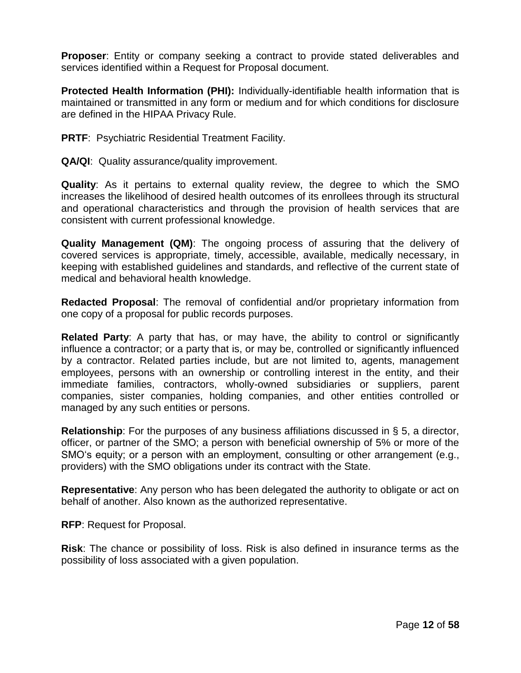**Proposer**: Entity or company seeking a contract to provide stated deliverables and services identified within a Request for Proposal document.

**Protected Health Information (PHI):** Individually-identifiable health information that is maintained or transmitted in any form or medium and for which conditions for disclosure are defined in the HIPAA Privacy Rule.

**PRTF: Psychiatric Residential Treatment Facility.** 

**QA/QI**: Quality assurance/quality improvement.

**Quality**: As it pertains to external quality review, the degree to which the SMO increases the likelihood of desired health outcomes of its enrollees through its structural and operational characteristics and through the provision of health services that are consistent with current professional knowledge.

**Quality Management (QM)**: The ongoing process of assuring that the delivery of covered services is appropriate, timely, accessible, available, medically necessary, in keeping with established guidelines and standards, and reflective of the current state of medical and behavioral health knowledge.

**Redacted Proposal**: The removal of confidential and/or proprietary information from one copy of a proposal for public records purposes.

**Related Party**: A party that has, or may have, the ability to control or significantly influence a contractor; or a party that is, or may be, controlled or significantly influenced by a contractor. Related parties include, but are not limited to, agents, management employees, persons with an ownership or controlling interest in the entity, and their immediate families, contractors, wholly-owned subsidiaries or suppliers, parent companies, sister companies, holding companies, and other entities controlled or managed by any such entities or persons.

**Relationship**: For the purposes of any business affiliations discussed in § 5, a director, officer, or partner of the SMO; a person with beneficial ownership of 5% or more of the SMO's equity; or a person with an employment, consulting or other arrangement (e.g., providers) with the SMO obligations under its contract with the State.

**Representative**: Any person who has been delegated the authority to obligate or act on behalf of another. Also known as the authorized representative.

**RFP**: Request for Proposal.

**Risk**: The chance or possibility of loss. Risk is also defined in insurance terms as the possibility of loss associated with a given population.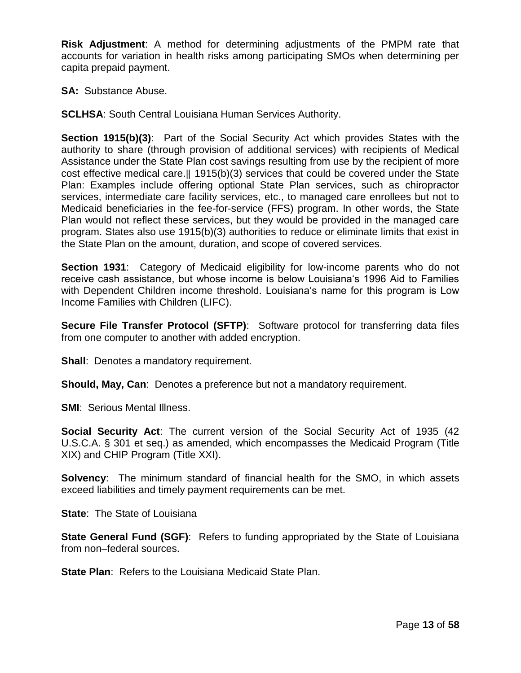**Risk Adjustment**: A method for determining adjustments of the PMPM rate that accounts for variation in health risks among participating SMOs when determining per capita prepaid payment.

**SA:** Substance Abuse.

**SCLHSA**: South Central Louisiana Human Services Authority.

**Section 1915(b)(3)**: Part of the Social Security Act which provides States with the authority to share (through provision of additional services) with recipients of Medical Assistance under the State Plan cost savings resulting from use by the recipient of more cost effective medical care.‖ 1915(b)(3) services that could be covered under the State Plan: Examples include offering optional State Plan services, such as chiropractor services, intermediate care facility services, etc., to managed care enrollees but not to Medicaid beneficiaries in the fee-for-service (FFS) program. In other words, the State Plan would not reflect these services, but they would be provided in the managed care program. States also use 1915(b)(3) authorities to reduce or eliminate limits that exist in the State Plan on the amount, duration, and scope of covered services.

**Section 1931**: Category of Medicaid eligibility for low-income parents who do not receive cash assistance, but whose income is below Louisiana"s 1996 Aid to Families with Dependent Children income threshold. Louisiana's name for this program is Low Income Families with Children (LIFC).

**Secure File Transfer Protocol (SFTP)**: Software protocol for transferring data files from one computer to another with added encryption.

**Shall:** Denotes a mandatory requirement.

**Should, May, Can**: Denotes a preference but not a mandatory requirement.

**SMI: Serious Mental Illness.** 

**Social Security Act**: The current version of the Social Security Act of 1935 (42 U.S.C.A. § 301 et seq.) as amended, which encompasses the Medicaid Program (Title XIX) and CHIP Program (Title XXI).

**Solvency**: The minimum standard of financial health for the SMO, in which assets exceed liabilities and timely payment requirements can be met.

**State**: The State of Louisiana

**State General Fund (SGF):** Refers to funding appropriated by the State of Louisiana from non–federal sources.

**State Plan**: Refers to the Louisiana Medicaid State Plan.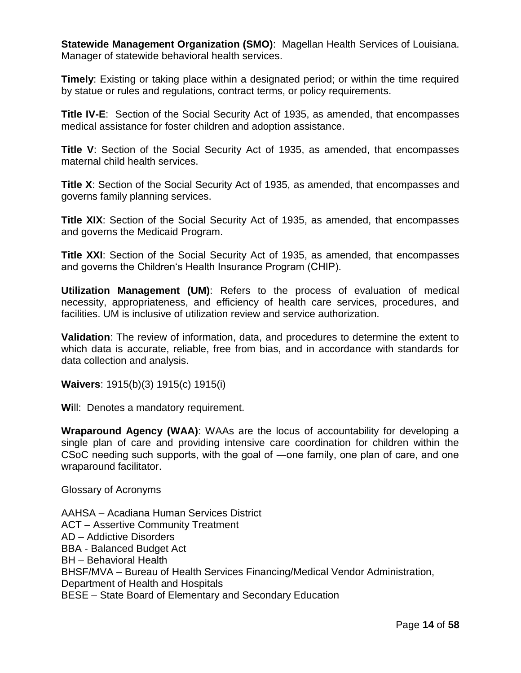**Statewide Management Organization (SMO)**: Magellan Health Services of Louisiana. Manager of statewide behavioral health services.

**Timely**: Existing or taking place within a designated period; or within the time required by statue or rules and regulations, contract terms, or policy requirements.

**Title IV-E**: Section of the Social Security Act of 1935, as amended, that encompasses medical assistance for foster children and adoption assistance.

**Title V**: Section of the Social Security Act of 1935, as amended, that encompasses maternal child health services.

**Title X**: Section of the Social Security Act of 1935, as amended, that encompasses and governs family planning services.

**Title XIX:** Section of the Social Security Act of 1935, as amended, that encompasses and governs the Medicaid Program.

**Title XXI**: Section of the Social Security Act of 1935, as amended, that encompasses and governs the Children"s Health Insurance Program (CHIP).

**Utilization Management (UM)**: Refers to the process of evaluation of medical necessity, appropriateness, and efficiency of health care services, procedures, and facilities. UM is inclusive of utilization review and service authorization.

**Validation**: The review of information, data, and procedures to determine the extent to which data is accurate, reliable, free from bias, and in accordance with standards for data collection and analysis.

**Waivers**: 1915(b)(3) 1915(c) 1915(i)

**Wi**ll: Denotes a mandatory requirement.

**Wraparound Agency (WAA)**: WAAs are the locus of accountability for developing a single plan of care and providing intensive care coordination for children within the CSoC needing such supports, with the goal of ―one family, one plan of care, and one wraparound facilitator.

Glossary of Acronyms

AAHSA – Acadiana Human Services District ACT – Assertive Community Treatment AD – Addictive Disorders BBA - Balanced Budget Act BH – Behavioral Health BHSF/MVA – Bureau of Health Services Financing/Medical Vendor Administration, Department of Health and Hospitals BESE – State Board of Elementary and Secondary Education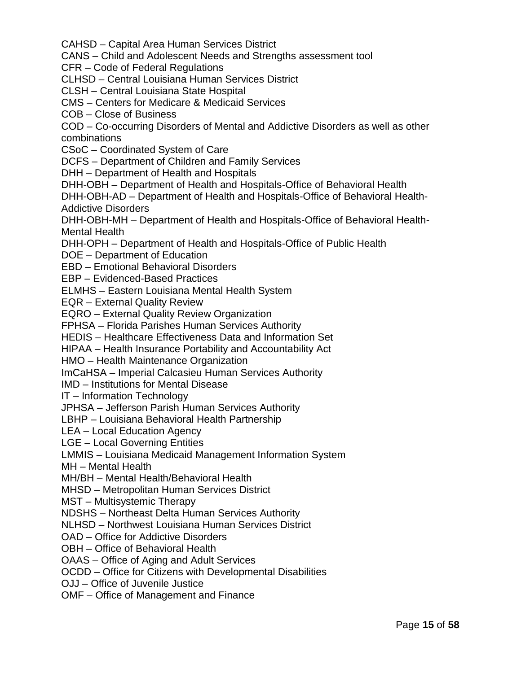CAHSD – Capital Area Human Services District

CANS – Child and Adolescent Needs and Strengths assessment tool

CFR – Code of Federal Regulations

CLHSD – Central Louisiana Human Services District

CLSH – Central Louisiana State Hospital

CMS – Centers for Medicare & Medicaid Services

COB – Close of Business

COD – Co-occurring Disorders of Mental and Addictive Disorders as well as other combinations

CSoC – Coordinated System of Care

DCFS – Department of Children and Family Services

DHH – Department of Health and Hospitals

DHH-OBH – Department of Health and Hospitals-Office of Behavioral Health

DHH-OBH-AD – Department of Health and Hospitals-Office of Behavioral Health-Addictive Disorders

DHH-OBH-MH – Department of Health and Hospitals-Office of Behavioral Health-Mental Health

DHH-OPH – Department of Health and Hospitals-Office of Public Health

DOE – Department of Education

EBD – Emotional Behavioral Disorders

EBP – Evidenced-Based Practices

ELMHS – Eastern Louisiana Mental Health System

EQR – External Quality Review

EQRO – External Quality Review Organization

FPHSA – Florida Parishes Human Services Authority

HEDIS – Healthcare Effectiveness Data and Information Set

HIPAA – Health Insurance Portability and Accountability Act

HMO – Health Maintenance Organization

ImCaHSA – Imperial Calcasieu Human Services Authority

IMD – Institutions for Mental Disease

IT – Information Technology

JPHSA – Jefferson Parish Human Services Authority

LBHP – Louisiana Behavioral Health Partnership

LEA – Local Education Agency

LGE – Local Governing Entities

LMMIS – Louisiana Medicaid Management Information System

MH – Mental Health

MH/BH – Mental Health/Behavioral Health

MHSD – Metropolitan Human Services District

MST – Multisystemic Therapy

NDSHS – Northeast Delta Human Services Authority

NLHSD – Northwest Louisiana Human Services District

OAD – Office for Addictive Disorders

OBH – Office of Behavioral Health

OAAS – Office of Aging and Adult Services

OCDD – Office for Citizens with Developmental Disabilities

OJJ – Office of Juvenile Justice

OMF – Office of Management and Finance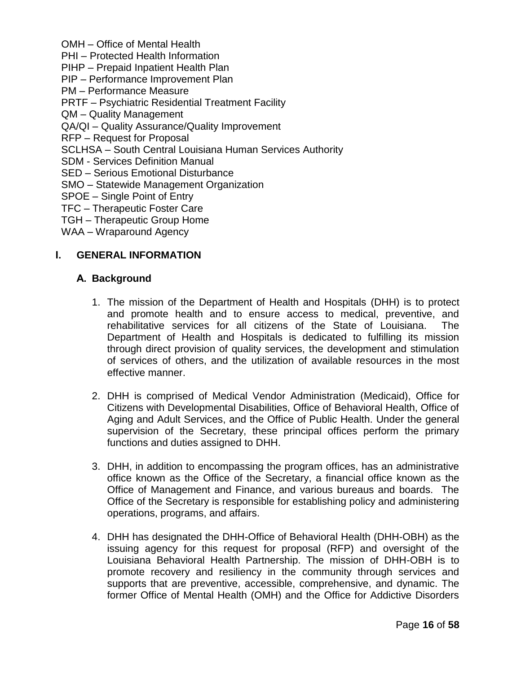- OMH Office of Mental Health PHI – Protected Health Information PIHP – Prepaid Inpatient Health Plan PIP – Performance Improvement Plan PM – Performance Measure PRTF – Psychiatric Residential Treatment Facility QM – Quality Management QA/QI – Quality Assurance/Quality Improvement RFP – Request for Proposal SCLHSA – South Central Louisiana Human Services Authority SDM - Services Definition Manual SED – Serious Emotional Disturbance
- SMO Statewide Management Organization
- SPOE Single Point of Entry
- TFC Therapeutic Foster Care
- TGH Therapeutic Group Home
- WAA Wraparound Agency

#### **I. GENERAL INFORMATION**

#### **A. Background**

- 1. The mission of the Department of Health and Hospitals (DHH) is to protect and promote health and to ensure access to medical, preventive, and rehabilitative services for all citizens of the State of Louisiana. The Department of Health and Hospitals is dedicated to fulfilling its mission through direct provision of quality services, the development and stimulation of services of others, and the utilization of available resources in the most effective manner.
- 2. DHH is comprised of Medical Vendor Administration (Medicaid), Office for Citizens with Developmental Disabilities, Office of Behavioral Health, Office of Aging and Adult Services, and the Office of Public Health. Under the general supervision of the Secretary, these principal offices perform the primary functions and duties assigned to DHH.
- 3. DHH, in addition to encompassing the program offices, has an administrative office known as the Office of the Secretary, a financial office known as the Office of Management and Finance, and various bureaus and boards. The Office of the Secretary is responsible for establishing policy and administering operations, programs, and affairs.
- 4. DHH has designated the DHH-Office of Behavioral Health (DHH-OBH) as the issuing agency for this request for proposal (RFP) and oversight of the Louisiana Behavioral Health Partnership. The mission of DHH-OBH is to promote recovery and resiliency in the community through services and supports that are preventive, accessible, comprehensive, and dynamic. The former Office of Mental Health (OMH) and the Office for Addictive Disorders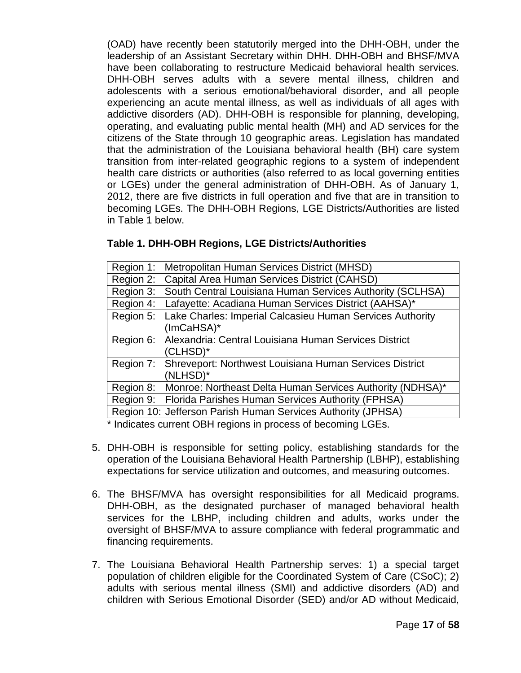(OAD) have recently been statutorily merged into the DHH-OBH, under the leadership of an Assistant Secretary within DHH. DHH-OBH and BHSF/MVA have been collaborating to restructure Medicaid behavioral health services. DHH-OBH serves adults with a severe mental illness, children and adolescents with a serious emotional/behavioral disorder, and all people experiencing an acute mental illness, as well as individuals of all ages with addictive disorders (AD). DHH-OBH is responsible for planning, developing, operating, and evaluating public mental health (MH) and AD services for the citizens of the State through 10 geographic areas. Legislation has mandated that the administration of the Louisiana behavioral health (BH) care system transition from inter-related geographic regions to a system of independent health care districts or authorities (also referred to as local governing entities or LGEs) under the general administration of DHH-OBH. As of January 1, 2012, there are five districts in full operation and five that are in transition to becoming LGEs. The DHH-OBH Regions, LGE Districts/Authorities are listed in Table 1 below.

## **Table 1. DHH-OBH Regions, LGE Districts/Authorities**

|           | Region 1: Metropolitan Human Services District (MHSD)               |
|-----------|---------------------------------------------------------------------|
|           | Region 2: Capital Area Human Services District (CAHSD)              |
| Region 3: | South Central Louisiana Human Services Authority (SCLHSA)           |
|           | Region 4: Lafayette: Acadiana Human Services District (AAHSA)*      |
|           | Region 5: Lake Charles: Imperial Calcasieu Human Services Authority |
|           | (ImCaHSA)*                                                          |
|           | Region 6: Alexandria: Central Louisiana Human Services District     |
|           | (CLHSD)*                                                            |
|           | Region 7: Shreveport: Northwest Louisiana Human Services District   |
|           | (NLHSD)*                                                            |
|           | Region 8: Monroe: Northeast Delta Human Services Authority (NDHSA)* |
|           | Region 9: Florida Parishes Human Services Authority (FPHSA)         |
|           | Region 10: Jefferson Parish Human Services Authority (JPHSA)        |
|           | * Indicates current OBH regions in process of becoming LGEs         |

Indicates current OBH regions in process of becoming LGEs.

- 5. DHH-OBH is responsible for setting policy, establishing standards for the operation of the Louisiana Behavioral Health Partnership (LBHP), establishing expectations for service utilization and outcomes, and measuring outcomes.
- 6. The BHSF/MVA has oversight responsibilities for all Medicaid programs. DHH-OBH, as the designated purchaser of managed behavioral health services for the LBHP, including children and adults, works under the oversight of BHSF/MVA to assure compliance with federal programmatic and financing requirements.
- 7. The Louisiana Behavioral Health Partnership serves: 1) a special target population of children eligible for the Coordinated System of Care (CSoC); 2) adults with serious mental illness (SMI) and addictive disorders (AD) and children with Serious Emotional Disorder (SED) and/or AD without Medicaid,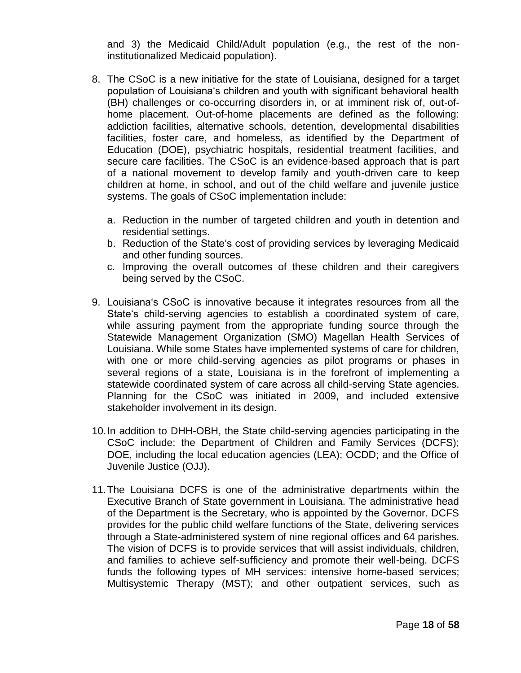and 3) the Medicaid Child/Adult population (e.g., the rest of the noninstitutionalized Medicaid population).

- 8. The CSoC is a new initiative for the state of Louisiana, designed for a target population of Louisiana"s children and youth with significant behavioral health (BH) challenges or co-occurring disorders in, or at imminent risk of, out-ofhome placement. Out-of-home placements are defined as the following: addiction facilities, alternative schools, detention, developmental disabilities facilities, foster care, and homeless, as identified by the Department of Education (DOE), psychiatric hospitals, residential treatment facilities, and secure care facilities. The CSoC is an evidence-based approach that is part of a national movement to develop family and youth-driven care to keep children at home, in school, and out of the child welfare and juvenile justice systems. The goals of CSoC implementation include:
	- a. Reduction in the number of targeted children and youth in detention and residential settings.
	- b. Reduction of the State"s cost of providing services by leveraging Medicaid and other funding sources.
	- c. Improving the overall outcomes of these children and their caregivers being served by the CSoC.
- 9. Louisiana"s CSoC is innovative because it integrates resources from all the State's child-serving agencies to establish a coordinated system of care, while assuring payment from the appropriate funding source through the Statewide Management Organization (SMO) Magellan Health Services of Louisiana. While some States have implemented systems of care for children, with one or more child-serving agencies as pilot programs or phases in several regions of a state, Louisiana is in the forefront of implementing a statewide coordinated system of care across all child-serving State agencies. Planning for the CSoC was initiated in 2009, and included extensive stakeholder involvement in its design.
- 10.In addition to DHH-OBH, the State child-serving agencies participating in the CSoC include: the Department of Children and Family Services (DCFS); DOE, including the local education agencies (LEA); OCDD; and the Office of Juvenile Justice (OJJ).
- 11.The Louisiana DCFS is one of the administrative departments within the Executive Branch of State government in Louisiana. The administrative head of the Department is the Secretary, who is appointed by the Governor. DCFS provides for the public child welfare functions of the State, delivering services through a State-administered system of nine regional offices and 64 parishes. The vision of DCFS is to provide services that will assist individuals, children, and families to achieve self-sufficiency and promote their well-being. DCFS funds the following types of MH services: intensive home-based services; Multisystemic Therapy (MST); and other outpatient services, such as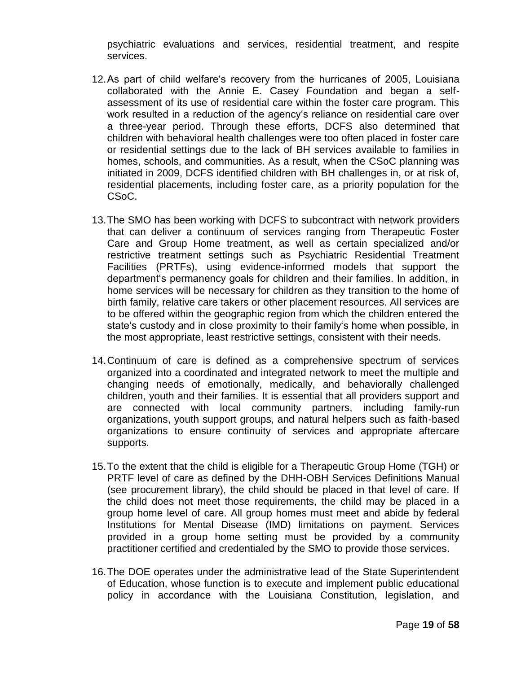psychiatric evaluations and services, residential treatment, and respite services.

- 12.As part of child welfare"s recovery from the hurricanes of 2005, Louisiana collaborated with the Annie E. Casey Foundation and began a selfassessment of its use of residential care within the foster care program. This work resulted in a reduction of the agency's reliance on residential care over a three-year period. Through these efforts, DCFS also determined that children with behavioral health challenges were too often placed in foster care or residential settings due to the lack of BH services available to families in homes, schools, and communities. As a result, when the CSoC planning was initiated in 2009, DCFS identified children with BH challenges in, or at risk of, residential placements, including foster care, as a priority population for the CSoC.
- 13.The SMO has been working with DCFS to subcontract with network providers that can deliver a continuum of services ranging from Therapeutic Foster Care and Group Home treatment, as well as certain specialized and/or restrictive treatment settings such as Psychiatric Residential Treatment Facilities (PRTFs), using evidence-informed models that support the department"s permanency goals for children and their families. In addition, in home services will be necessary for children as they transition to the home of birth family, relative care takers or other placement resources. All services are to be offered within the geographic region from which the children entered the state's custody and in close proximity to their family's home when possible, in the most appropriate, least restrictive settings, consistent with their needs.
- 14.Continuum of care is defined as a comprehensive spectrum of services organized into a coordinated and integrated network to meet the multiple and changing needs of emotionally, medically, and behaviorally challenged children, youth and their families. It is essential that all providers support and are connected with local community partners, including family-run organizations, youth support groups, and natural helpers such as faith-based organizations to ensure continuity of services and appropriate aftercare supports.
- 15.To the extent that the child is eligible for a Therapeutic Group Home (TGH) or PRTF level of care as defined by the DHH-OBH Services Definitions Manual (see procurement library), the child should be placed in that level of care. If the child does not meet those requirements, the child may be placed in a group home level of care. All group homes must meet and abide by federal Institutions for Mental Disease (IMD) limitations on payment. Services provided in a group home setting must be provided by a community practitioner certified and credentialed by the SMO to provide those services.
- 16.The DOE operates under the administrative lead of the State Superintendent of Education, whose function is to execute and implement public educational policy in accordance with the Louisiana Constitution, legislation, and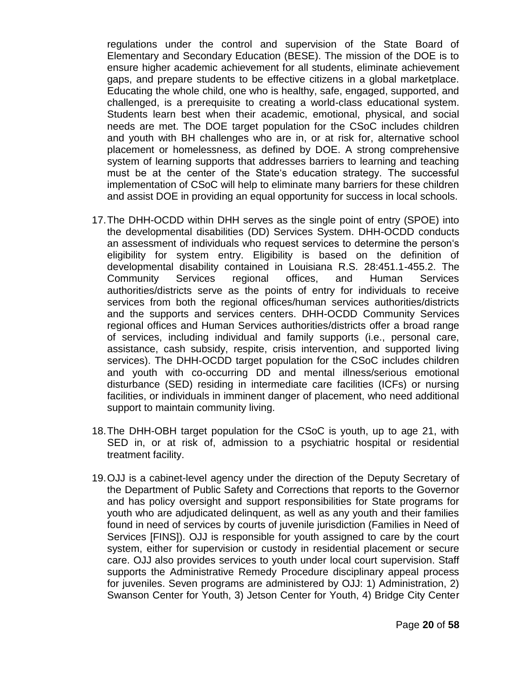regulations under the control and supervision of the State Board of Elementary and Secondary Education (BESE). The mission of the DOE is to ensure higher academic achievement for all students, eliminate achievement gaps, and prepare students to be effective citizens in a global marketplace. Educating the whole child, one who is healthy, safe, engaged, supported, and challenged, is a prerequisite to creating a world-class educational system. Students learn best when their academic, emotional, physical, and social needs are met. The DOE target population for the CSoC includes children and youth with BH challenges who are in, or at risk for, alternative school placement or homelessness, as defined by DOE. A strong comprehensive system of learning supports that addresses barriers to learning and teaching must be at the center of the State"s education strategy. The successful implementation of CSoC will help to eliminate many barriers for these children and assist DOE in providing an equal opportunity for success in local schools.

- 17.The DHH-OCDD within DHH serves as the single point of entry (SPOE) into the developmental disabilities (DD) Services System. DHH-OCDD conducts an assessment of individuals who request services to determine the person"s eligibility for system entry. Eligibility is based on the definition of developmental disability contained in Louisiana R.S. 28:451.1-455.2. The Community Services regional offices, and Human Services authorities/districts serve as the points of entry for individuals to receive services from both the regional offices/human services authorities/districts and the supports and services centers. DHH-OCDD Community Services regional offices and Human Services authorities/districts offer a broad range of services, including individual and family supports (i.e., personal care, assistance, cash subsidy, respite, crisis intervention, and supported living services). The DHH-OCDD target population for the CSoC includes children and youth with co-occurring DD and mental illness/serious emotional disturbance (SED) residing in intermediate care facilities (ICFs) or nursing facilities, or individuals in imminent danger of placement, who need additional support to maintain community living.
- 18.The DHH-OBH target population for the CSoC is youth, up to age 21, with SED in, or at risk of, admission to a psychiatric hospital or residential treatment facility.
- 19.OJJ is a cabinet-level agency under the direction of the Deputy Secretary of the Department of Public Safety and Corrections that reports to the Governor and has policy oversight and support responsibilities for State programs for youth who are adjudicated delinquent, as well as any youth and their families found in need of services by courts of juvenile jurisdiction (Families in Need of Services [FINS]). OJJ is responsible for youth assigned to care by the court system, either for supervision or custody in residential placement or secure care. OJJ also provides services to youth under local court supervision. Staff supports the Administrative Remedy Procedure disciplinary appeal process for juveniles. Seven programs are administered by OJJ: 1) Administration, 2) Swanson Center for Youth, 3) Jetson Center for Youth, 4) Bridge City Center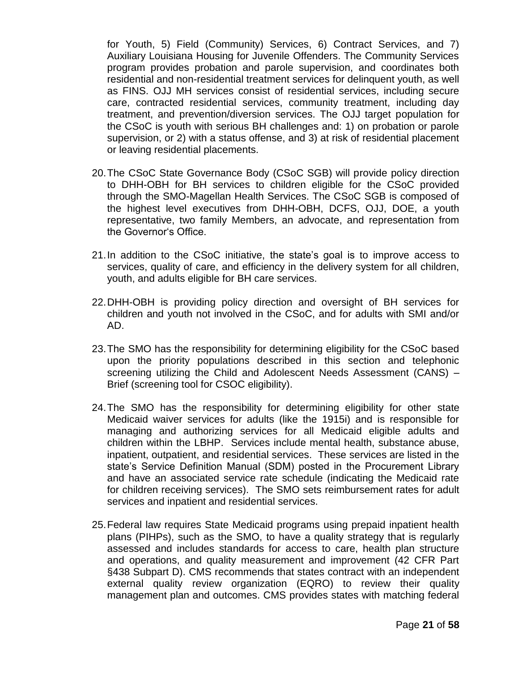for Youth, 5) Field (Community) Services, 6) Contract Services, and 7) Auxiliary Louisiana Housing for Juvenile Offenders. The Community Services program provides probation and parole supervision, and coordinates both residential and non-residential treatment services for delinquent youth, as well as FINS. OJJ MH services consist of residential services, including secure care, contracted residential services, community treatment, including day treatment, and prevention/diversion services. The OJJ target population for the CSoC is youth with serious BH challenges and: 1) on probation or parole supervision, or 2) with a status offense, and 3) at risk of residential placement or leaving residential placements.

- 20.The CSoC State Governance Body (CSoC SGB) will provide policy direction to DHH-OBH for BH services to children eligible for the CSoC provided through the SMO-Magellan Health Services. The CSoC SGB is composed of the highest level executives from DHH-OBH, DCFS, OJJ, DOE, a youth representative, two family Members, an advocate, and representation from the Governor's Office.
- 21.In addition to the CSoC initiative, the state"s goal is to improve access to services, quality of care, and efficiency in the delivery system for all children, youth, and adults eligible for BH care services.
- 22.DHH-OBH is providing policy direction and oversight of BH services for children and youth not involved in the CSoC, and for adults with SMI and/or AD.
- 23.The SMO has the responsibility for determining eligibility for the CSoC based upon the priority populations described in this section and telephonic screening utilizing the Child and Adolescent Needs Assessment (CANS) – Brief (screening tool for CSOC eligibility).
- 24.The SMO has the responsibility for determining eligibility for other state Medicaid waiver services for adults (like the 1915i) and is responsible for managing and authorizing services for all Medicaid eligible adults and children within the LBHP. Services include mental health, substance abuse, inpatient, outpatient, and residential services. These services are listed in the state"s Service Definition Manual (SDM) posted in the Procurement Library and have an associated service rate schedule (indicating the Medicaid rate for children receiving services). The SMO sets reimbursement rates for adult services and inpatient and residential services.
- 25.Federal law requires State Medicaid programs using prepaid inpatient health plans (PIHPs), such as the SMO, to have a quality strategy that is regularly assessed and includes standards for access to care, health plan structure and operations, and quality measurement and improvement (42 CFR Part §438 Subpart D). CMS recommends that states contract with an independent external quality review organization (EQRO) to review their quality management plan and outcomes. CMS provides states with matching federal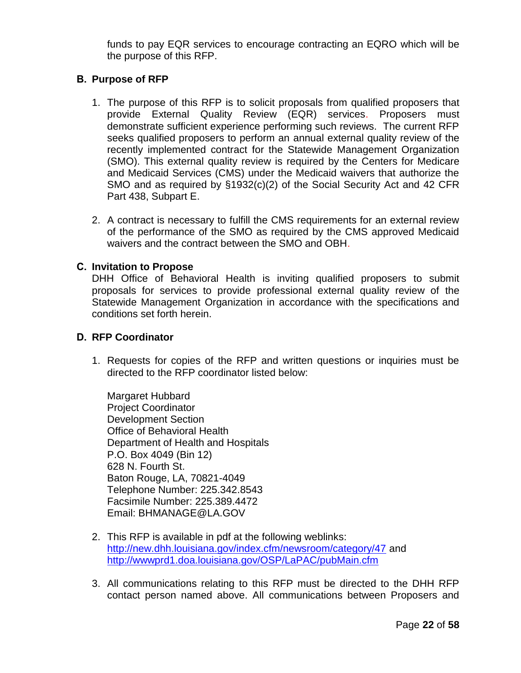funds to pay EQR services to encourage contracting an EQRO which will be the purpose of this RFP.

# **B. Purpose of RFP**

- 1. The purpose of this RFP is to solicit proposals from qualified proposers that provide External Quality Review (EQR) services. Proposers must demonstrate sufficient experience performing such reviews. The current RFP seeks qualified proposers to perform an annual external quality review of the recently implemented contract for the Statewide Management Organization (SMO). This external quality review is required by the Centers for Medicare and Medicaid Services (CMS) under the Medicaid waivers that authorize the SMO and as required by §1932(c)(2) of the Social Security Act and 42 CFR Part 438, Subpart E.
- 2. A contract is necessary to fulfill the CMS requirements for an external review of the performance of the SMO as required by the CMS approved Medicaid waivers and the contract between the SMO and OBH.

## **C. Invitation to Propose**

DHH Office of Behavioral Health is inviting qualified proposers to submit proposals for services to provide professional external quality review of the Statewide Management Organization in accordance with the specifications and conditions set forth herein.

## **D. RFP Coordinator**

1. Requests for copies of the RFP and written questions or inquiries must be directed to the RFP coordinator listed below:

Margaret Hubbard Project Coordinator Development Section Office of Behavioral Health Department of Health and Hospitals P.O. Box 4049 (Bin 12) 628 N. Fourth St. Baton Rouge, LA, 70821-4049 Telephone Number: 225.342.8543 Facsimile Number: 225.389.4472 Email: BHMANAGE@LA.GOV

- 2. This RFP is available in pdf at the following weblinks: <http://new.dhh.louisiana.gov/index.cfm/newsroom/category/47> and <http://wwwprd1.doa.louisiana.gov/OSP/LaPAC/pubMain.cfm>
- 3. All communications relating to this RFP must be directed to the DHH RFP contact person named above. All communications between Proposers and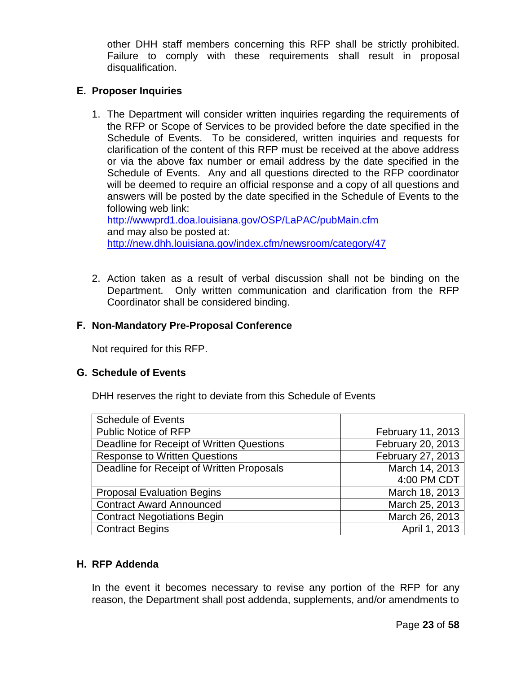other DHH staff members concerning this RFP shall be strictly prohibited. Failure to comply with these requirements shall result in proposal disqualification.

## **E. Proposer Inquiries**

1. The Department will consider written inquiries regarding the requirements of the RFP or Scope of Services to be provided before the date specified in the Schedule of Events. To be considered, written inquiries and requests for clarification of the content of this RFP must be received at the above address or via the above fax number or email address by the date specified in the Schedule of Events. Any and all questions directed to the RFP coordinator will be deemed to require an official response and a copy of all questions and answers will be posted by the date specified in the Schedule of Events to the following web link:

<http://wwwprd1.doa.louisiana.gov/OSP/LaPAC/pubMain.cfm> and may also be posted at: <http://new.dhh.louisiana.gov/index.cfm/newsroom/category/47>

2. Action taken as a result of verbal discussion shall not be binding on the Department. Only written communication and clarification from the RFP Coordinator shall be considered binding.

## **F. Non-Mandatory Pre-Proposal Conference**

Not required for this RFP.

## **G. Schedule of Events**

DHH reserves the right to deviate from this Schedule of Events

| <b>Schedule of Events</b>                 |                   |
|-------------------------------------------|-------------------|
| <b>Public Notice of RFP</b>               | February 11, 2013 |
| Deadline for Receipt of Written Questions | February 20, 2013 |
| <b>Response to Written Questions</b>      | February 27, 2013 |
| Deadline for Receipt of Written Proposals | March 14, 2013    |
|                                           | 4:00 PM CDT       |
| <b>Proposal Evaluation Begins</b>         | March 18, 2013    |
| <b>Contract Award Announced</b>           | March 25, 2013    |
| <b>Contract Negotiations Begin</b>        | March 26, 2013    |
| <b>Contract Begins</b>                    | April 1, 2013     |

## **H. RFP Addenda**

In the event it becomes necessary to revise any portion of the RFP for any reason, the Department shall post addenda, supplements, and/or amendments to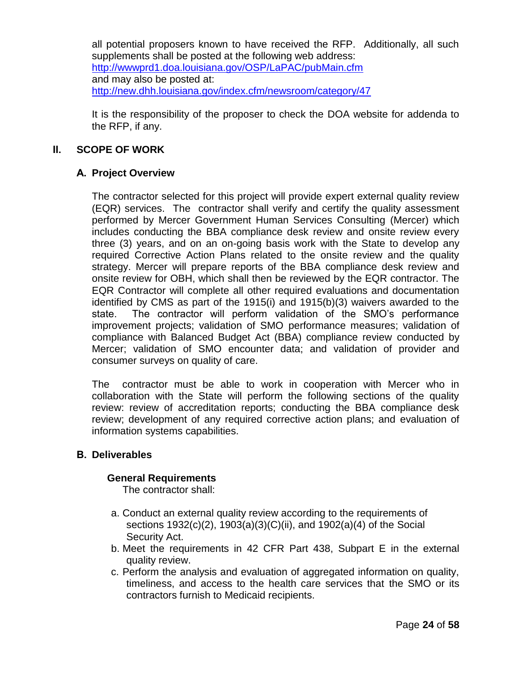all potential proposers known to have received the RFP. Additionally, all such supplements shall be posted at the following web address: <http://wwwprd1.doa.louisiana.gov/OSP/LaPAC/pubMain.cfm> and may also be posted at: <http://new.dhh.louisiana.gov/index.cfm/newsroom/category/47>

It is the responsibility of the proposer to check the DOA website for addenda to the RFP, if any.

## **II. SCOPE OF WORK**

## **A. Project Overview**

The contractor selected for this project will provide expert external quality review (EQR) services. The contractor shall verify and certify the quality assessment performed by Mercer Government Human Services Consulting (Mercer) which includes conducting the BBA compliance desk review and onsite review every three (3) years, and on an on-going basis work with the State to develop any required Corrective Action Plans related to the onsite review and the quality strategy. Mercer will prepare reports of the BBA compliance desk review and onsite review for OBH, which shall then be reviewed by the EQR contractor. The EQR Contractor will complete all other required evaluations and documentation identified by CMS as part of the 1915(i) and 1915(b)(3) waivers awarded to the state. The contractor will perform validation of the SMO"s performance improvement projects; validation of SMO performance measures; validation of compliance with Balanced Budget Act (BBA) compliance review conducted by Mercer; validation of SMO encounter data; and validation of provider and consumer surveys on quality of care.

The contractor must be able to work in cooperation with Mercer who in collaboration with the State will perform the following sections of the quality review: review of accreditation reports; conducting the BBA compliance desk review; development of any required corrective action plans; and evaluation of information systems capabilities.

## **B. Deliverables**

#### **General Requirements**

The contractor shall:

- a. Conduct an external quality review according to the requirements of sections 1932(c)(2), 1903(a)(3)(C)(ii), and 1902(a)(4) of the Social Security Act.
- b. Meet the requirements in 42 CFR Part 438, Subpart E in the external quality review.
- c. Perform the analysis and evaluation of aggregated information on quality, timeliness, and access to the health care services that the SMO or its contractors furnish to Medicaid recipients.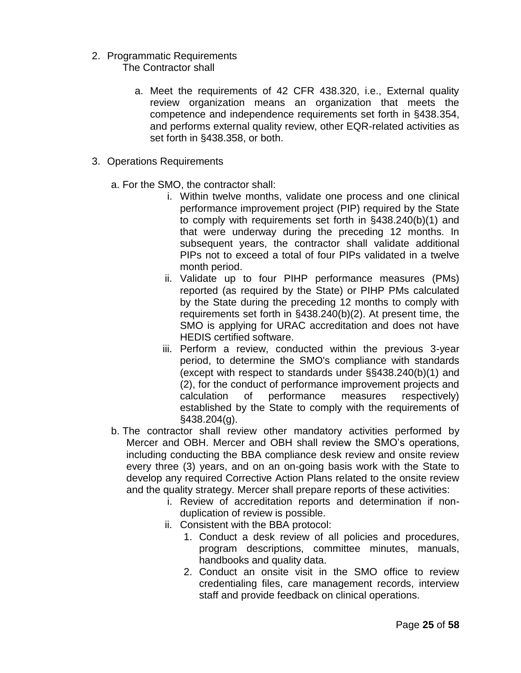- 2. Programmatic Requirements The Contractor shall
	- a. Meet the requirements of 42 CFR 438.320, i.e., External quality review organization means an organization that meets the competence and independence requirements set forth in §438.354, and performs external quality review, other EQR-related activities as set forth in §438.358, or both.
- 3. Operations Requirements
	- a. For the SMO, the contractor shall:
		- i. Within twelve months, validate one process and one clinical performance improvement project (PIP) required by the State to comply with requirements set forth in §438.240(b)(1) and that were underway during the preceding 12 months. In subsequent years, the contractor shall validate additional PIPs not to exceed a total of four PIPs validated in a twelve month period.
		- ii. Validate up to four PIHP performance measures (PMs) reported (as required by the State) or PIHP PMs calculated by the State during the preceding 12 months to comply with requirements set forth in §438.240(b)(2). At present time, the SMO is applying for URAC accreditation and does not have HEDIS certified software.
		- iii. Perform a review, conducted within the previous 3-year period, to determine the SMO's compliance with standards (except with respect to standards under §§438.240(b)(1) and (2), for the conduct of performance improvement projects and calculation of performance measures respectively) established by the State to comply with the requirements of §438.204(g).
	- b. The contractor shall review other mandatory activities performed by Mercer and OBH. Mercer and OBH shall review the SMO"s operations, including conducting the BBA compliance desk review and onsite review every three (3) years, and on an on-going basis work with the State to develop any required Corrective Action Plans related to the onsite review and the quality strategy. Mercer shall prepare reports of these activities:
		- i. Review of accreditation reports and determination if nonduplication of review is possible.
		- ii. Consistent with the BBA protocol:
			- 1. Conduct a desk review of all policies and procedures, program descriptions, committee minutes, manuals, handbooks and quality data.
			- 2. Conduct an onsite visit in the SMO office to review credentialing files, care management records, interview staff and provide feedback on clinical operations.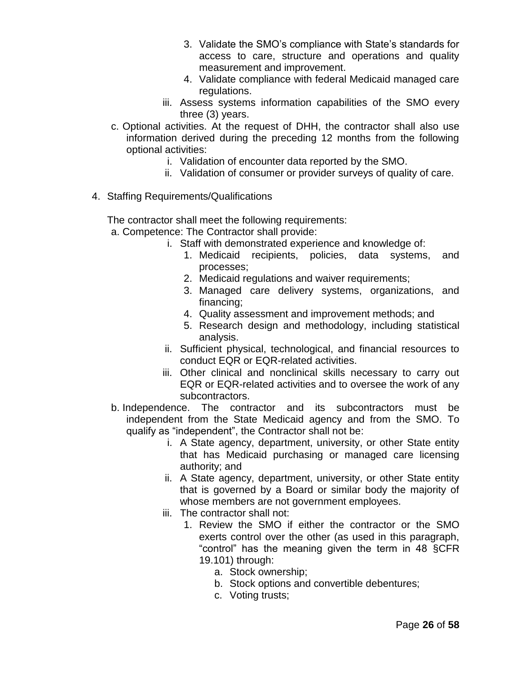- 3. Validate the SMO"s compliance with State"s standards for access to care, structure and operations and quality measurement and improvement.
- 4. Validate compliance with federal Medicaid managed care regulations.
- iii. Assess systems information capabilities of the SMO every three (3) years.
- c. Optional activities. At the request of DHH, the contractor shall also use information derived during the preceding 12 months from the following optional activities:
	- i. Validation of encounter data reported by the SMO.
	- ii. Validation of consumer or provider surveys of quality of care.
- 4. Staffing Requirements/Qualifications

The contractor shall meet the following requirements:

- a. Competence: The Contractor shall provide:
	- i. Staff with demonstrated experience and knowledge of:
		- 1. Medicaid recipients, policies, data systems, and processes;
		- 2. Medicaid regulations and waiver requirements;
		- 3. Managed care delivery systems, organizations, and financing;
		- 4. Quality assessment and improvement methods; and
		- 5. Research design and methodology, including statistical analysis.
	- ii. Sufficient physical, technological, and financial resources to conduct EQR or EQR-related activities.
	- iii. Other clinical and nonclinical skills necessary to carry out EQR or EQR-related activities and to oversee the work of any subcontractors.
- b. Independence. The contractor and its subcontractors must be independent from the State Medicaid agency and from the SMO. To qualify as "independent", the Contractor shall not be:
	- i. A State agency, department, university, or other State entity that has Medicaid purchasing or managed care licensing authority; and
	- ii. A State agency, department, university, or other State entity that is governed by a Board or similar body the majority of whose members are not government employees.
	- iii. The contractor shall not:
		- 1. Review the SMO if either the contractor or the SMO exerts control over the other (as used in this paragraph, "control" has the meaning given the term in 48 §CFR 19.101) through:
			- a. Stock ownership;
			- b. Stock options and convertible debentures;
			- c. Voting trusts;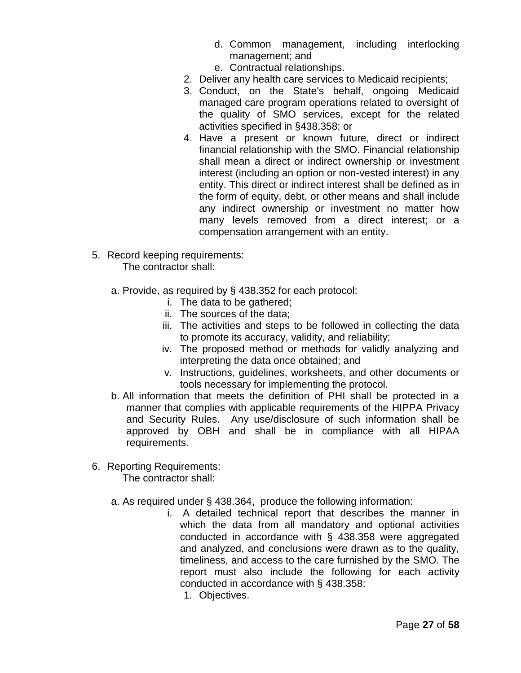- d. Common management, including interlocking management; and
- e. Contractual relationships.
- 2. Deliver any health care services to Medicaid recipients;
- 3. Conduct, on the State's behalf, ongoing Medicaid managed care program operations related to oversight of the quality of SMO services, except for the related activities specified in §438.358; or
- 4. Have a present or known future, direct or indirect financial relationship with the SMO. Financial relationship shall mean a direct or indirect ownership or investment interest (including an option or non-vested interest) in any entity. This direct or indirect interest shall be defined as in the form of equity, debt, or other means and shall include any indirect ownership or investment no matter how many levels removed from a direct interest; or a compensation arrangement with an entity.
- 5. Record keeping requirements: The contractor shall:
	- a. Provide, as required by § 438.352 for each protocol:
		- i. The data to be gathered;
		- ii. The sources of the data;
		- iii. The activities and steps to be followed in collecting the data to promote its accuracy, validity, and reliability;
		- iv. The proposed method or methods for validly analyzing and interpreting the data once obtained; and
		- v. Instructions, guidelines, worksheets, and other documents or tools necessary for implementing the protocol.
	- b. All information that meets the definition of PHI shall be protected in a manner that complies with applicable requirements of the HIPPA Privacy and Security Rules. Any use/disclosure of such information shall be approved by OBH and shall be in compliance with all HIPAA requirements.
- 6. Reporting Requirements:

The contractor shall:

- a. As required under § 438.364, produce the following information:
	- i. A detailed technical report that describes the manner in which the data from all mandatory and optional activities conducted in accordance with § 438.358 were aggregated and analyzed, and conclusions were drawn as to the quality, timeliness, and access to the care furnished by the SMO. The report must also include the following for each activity conducted in accordance with § 438.358:
		- 1. Objectives.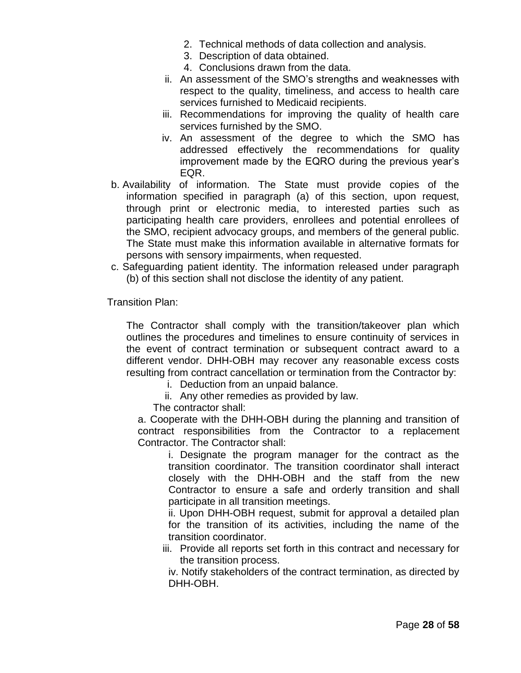- 2. Technical methods of data collection and analysis.
- 3. Description of data obtained.
- 4. Conclusions drawn from the data.
- ii. An assessment of the SMO"s strengths and weaknesses with respect to the quality, timeliness, and access to health care services furnished to Medicaid recipients.
- iii. Recommendations for improving the quality of health care services furnished by the SMO.
- iv. An assessment of the degree to which the SMO has addressed effectively the recommendations for quality improvement made by the EQRO during the previous year"s EQR.
- b. Availability of information. The State must provide copies of the information specified in paragraph (a) of this section, upon request, through print or electronic media, to interested parties such as participating health care providers, enrollees and potential enrollees of the SMO, recipient advocacy groups, and members of the general public. The State must make this information available in alternative formats for persons with sensory impairments, when requested.
- c. Safeguarding patient identity. The information released under paragraph (b) of this section shall not disclose the identity of any patient.

Transition Plan:

The Contractor shall comply with the transition/takeover plan which outlines the procedures and timelines to ensure continuity of services in the event of contract termination or subsequent contract award to a different vendor. DHH-OBH may recover any reasonable excess costs resulting from contract cancellation or termination from the Contractor by:

- i. Deduction from an unpaid balance.
- ii. Any other remedies as provided by law.

The contractor shall:

a. Cooperate with the DHH-OBH during the planning and transition of contract responsibilities from the Contractor to a replacement Contractor. The Contractor shall:

i. Designate the program manager for the contract as the transition coordinator. The transition coordinator shall interact closely with the DHH-OBH and the staff from the new Contractor to ensure a safe and orderly transition and shall participate in all transition meetings.

ii. Upon DHH-OBH request, submit for approval a detailed plan for the transition of its activities, including the name of the transition coordinator.

iii. Provide all reports set forth in this contract and necessary for the transition process.

iv. Notify stakeholders of the contract termination, as directed by DHH-OBH.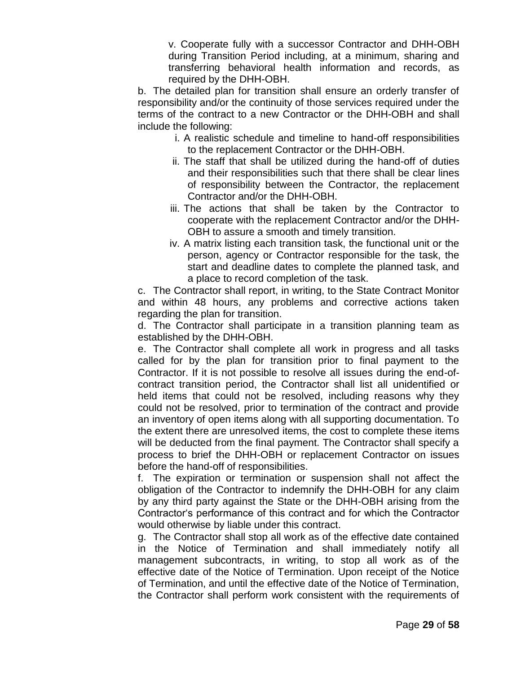v. Cooperate fully with a successor Contractor and DHH-OBH during Transition Period including, at a minimum, sharing and transferring behavioral health information and records, as required by the DHH-OBH.

b. The detailed plan for transition shall ensure an orderly transfer of responsibility and/or the continuity of those services required under the terms of the contract to a new Contractor or the DHH-OBH and shall include the following:

- i. A realistic schedule and timeline to hand-off responsibilities to the replacement Contractor or the DHH-OBH.
- ii. The staff that shall be utilized during the hand-off of duties and their responsibilities such that there shall be clear lines of responsibility between the Contractor, the replacement Contractor and/or the DHH-OBH.
- iii. The actions that shall be taken by the Contractor to cooperate with the replacement Contractor and/or the DHH-OBH to assure a smooth and timely transition.
- iv. A matrix listing each transition task, the functional unit or the person, agency or Contractor responsible for the task, the start and deadline dates to complete the planned task, and a place to record completion of the task.

c. The Contractor shall report, in writing, to the State Contract Monitor and within 48 hours, any problems and corrective actions taken regarding the plan for transition.

d. The Contractor shall participate in a transition planning team as established by the DHH-OBH.

e. The Contractor shall complete all work in progress and all tasks called for by the plan for transition prior to final payment to the Contractor. If it is not possible to resolve all issues during the end-ofcontract transition period, the Contractor shall list all unidentified or held items that could not be resolved, including reasons why they could not be resolved, prior to termination of the contract and provide an inventory of open items along with all supporting documentation. To the extent there are unresolved items, the cost to complete these items will be deducted from the final payment. The Contractor shall specify a process to brief the DHH-OBH or replacement Contractor on issues before the hand-off of responsibilities.

f. The expiration or termination or suspension shall not affect the obligation of the Contractor to indemnify the DHH-OBH for any claim by any third party against the State or the DHH-OBH arising from the Contractor"s performance of this contract and for which the Contractor would otherwise by liable under this contract.

g. The Contractor shall stop all work as of the effective date contained in the Notice of Termination and shall immediately notify all management subcontracts, in writing, to stop all work as of the effective date of the Notice of Termination. Upon receipt of the Notice of Termination, and until the effective date of the Notice of Termination, the Contractor shall perform work consistent with the requirements of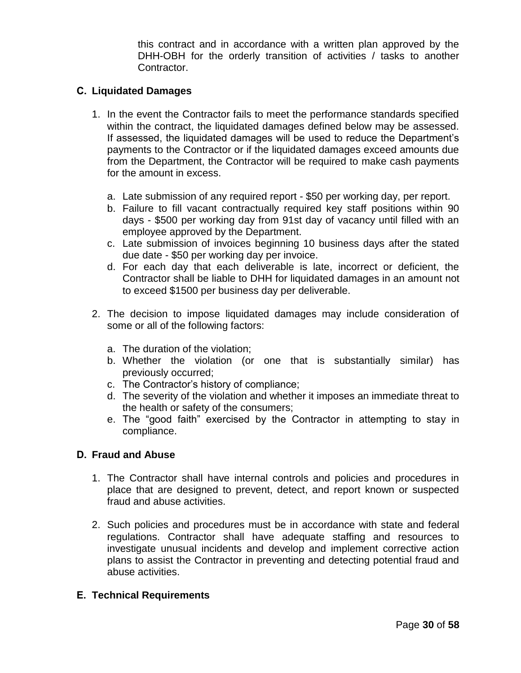this contract and in accordance with a written plan approved by the DHH-OBH for the orderly transition of activities / tasks to another Contractor.

## **C. Liquidated Damages**

- 1. In the event the Contractor fails to meet the performance standards specified within the contract, the liquidated damages defined below may be assessed. If assessed, the liquidated damages will be used to reduce the Department"s payments to the Contractor or if the liquidated damages exceed amounts due from the Department, the Contractor will be required to make cash payments for the amount in excess.
	- a. Late submission of any required report \$50 per working day, per report.
	- b. Failure to fill vacant contractually required key staff positions within 90 days - \$500 per working day from 91st day of vacancy until filled with an employee approved by the Department.
	- c. Late submission of invoices beginning 10 business days after the stated due date - \$50 per working day per invoice.
	- d. For each day that each deliverable is late, incorrect or deficient, the Contractor shall be liable to DHH for liquidated damages in an amount not to exceed \$1500 per business day per deliverable.
- 2. The decision to impose liquidated damages may include consideration of some or all of the following factors:
	- a. The duration of the violation;
	- b. Whether the violation (or one that is substantially similar) has previously occurred;
	- c. The Contractor"s history of compliance;
	- d. The severity of the violation and whether it imposes an immediate threat to the health or safety of the consumers;
	- e. The "good faith" exercised by the Contractor in attempting to stay in compliance.

## **D. Fraud and Abuse**

- 1. The Contractor shall have internal controls and policies and procedures in place that are designed to prevent, detect, and report known or suspected fraud and abuse activities.
- 2. Such policies and procedures must be in accordance with state and federal regulations. Contractor shall have adequate staffing and resources to investigate unusual incidents and develop and implement corrective action plans to assist the Contractor in preventing and detecting potential fraud and abuse activities.

## **E. Technical Requirements**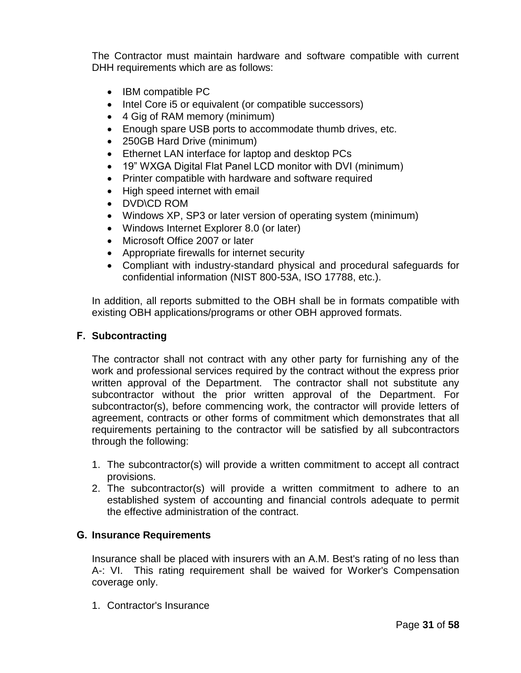The Contractor must maintain hardware and software compatible with current DHH requirements which are as follows:

- IBM compatible PC
- Intel Core i5 or equivalent (or compatible successors)
- 4 Gig of RAM memory (minimum)
- Enough spare USB ports to accommodate thumb drives, etc.
- 250GB Hard Drive (minimum)
- Ethernet LAN interface for laptop and desktop PCs
- 19" WXGA Digital Flat Panel LCD monitor with DVI (minimum)
- Printer compatible with hardware and software required
- High speed internet with email
- DVD\CD ROM
- Windows XP, SP3 or later version of operating system (minimum)
- Windows Internet Explorer 8.0 (or later)
- Microsoft Office 2007 or later
- Appropriate firewalls for internet security
- Compliant with industry-standard physical and procedural safeguards for confidential information (NIST 800-53A, ISO 17788, etc.).

In addition, all reports submitted to the OBH shall be in formats compatible with existing OBH applications/programs or other OBH approved formats.

## **F. Subcontracting**

The contractor shall not contract with any other party for furnishing any of the work and professional services required by the contract without the express prior written approval of the Department. The contractor shall not substitute any subcontractor without the prior written approval of the Department. For subcontractor(s), before commencing work, the contractor will provide letters of agreement, contracts or other forms of commitment which demonstrates that all requirements pertaining to the contractor will be satisfied by all subcontractors through the following:

- 1. The subcontractor(s) will provide a written commitment to accept all contract provisions.
- 2. The subcontractor(s) will provide a written commitment to adhere to an established system of accounting and financial controls adequate to permit the effective administration of the contract.

## **G. Insurance Requirements**

Insurance shall be placed with insurers with an A.M. Best's rating of no less than A-: VI. This rating requirement shall be waived for Worker's Compensation coverage only.

1. Contractor's Insurance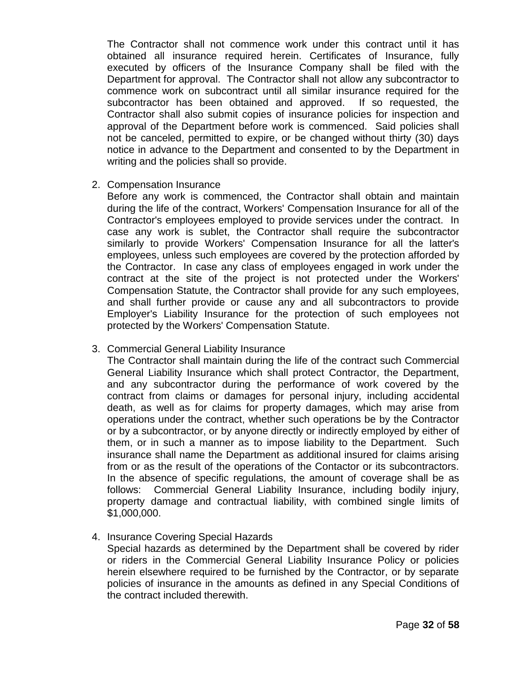The Contractor shall not commence work under this contract until it has obtained all insurance required herein. Certificates of Insurance, fully executed by officers of the Insurance Company shall be filed with the Department for approval. The Contractor shall not allow any subcontractor to commence work on subcontract until all similar insurance required for the subcontractor has been obtained and approved. If so requested, the Contractor shall also submit copies of insurance policies for inspection and approval of the Department before work is commenced. Said policies shall not be canceled, permitted to expire, or be changed without thirty (30) days notice in advance to the Department and consented to by the Department in writing and the policies shall so provide.

2. Compensation Insurance

Before any work is commenced, the Contractor shall obtain and maintain during the life of the contract, Workers' Compensation Insurance for all of the Contractor's employees employed to provide services under the contract. In case any work is sublet, the Contractor shall require the subcontractor similarly to provide Workers' Compensation Insurance for all the latter's employees, unless such employees are covered by the protection afforded by the Contractor. In case any class of employees engaged in work under the contract at the site of the project is not protected under the Workers' Compensation Statute, the Contractor shall provide for any such employees, and shall further provide or cause any and all subcontractors to provide Employer's Liability Insurance for the protection of such employees not protected by the Workers' Compensation Statute.

## 3. Commercial General Liability Insurance

The Contractor shall maintain during the life of the contract such Commercial General Liability Insurance which shall protect Contractor, the Department, and any subcontractor during the performance of work covered by the contract from claims or damages for personal injury, including accidental death, as well as for claims for property damages, which may arise from operations under the contract, whether such operations be by the Contractor or by a subcontractor, or by anyone directly or indirectly employed by either of them, or in such a manner as to impose liability to the Department. Such insurance shall name the Department as additional insured for claims arising from or as the result of the operations of the Contactor or its subcontractors. In the absence of specific regulations, the amount of coverage shall be as follows: Commercial General Liability Insurance, including bodily injury, property damage and contractual liability, with combined single limits of \$1,000,000.

4. Insurance Covering Special Hazards

Special hazards as determined by the Department shall be covered by rider or riders in the Commercial General Liability Insurance Policy or policies herein elsewhere required to be furnished by the Contractor, or by separate policies of insurance in the amounts as defined in any Special Conditions of the contract included therewith.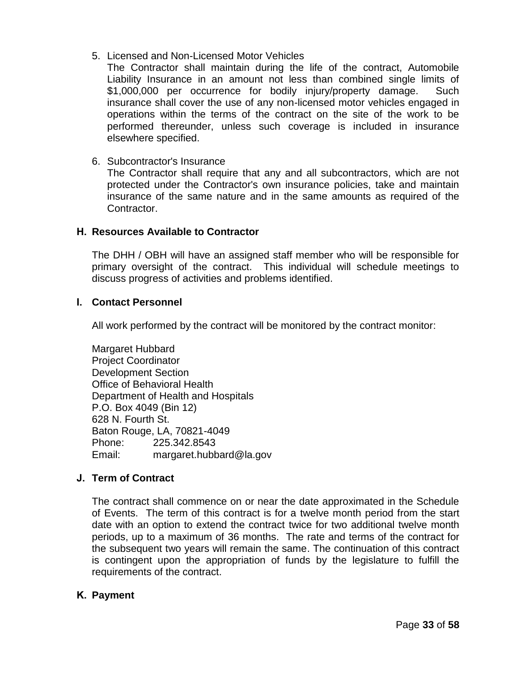## 5. Licensed and Non-Licensed Motor Vehicles

The Contractor shall maintain during the life of the contract, Automobile Liability Insurance in an amount not less than combined single limits of \$1,000,000 per occurrence for bodily injury/property damage. Such insurance shall cover the use of any non-licensed motor vehicles engaged in operations within the terms of the contract on the site of the work to be performed thereunder, unless such coverage is included in insurance elsewhere specified.

## 6. Subcontractor's Insurance

The Contractor shall require that any and all subcontractors, which are not protected under the Contractor's own insurance policies, take and maintain insurance of the same nature and in the same amounts as required of the Contractor.

## **H. Resources Available to Contractor**

The DHH / OBH will have an assigned staff member who will be responsible for primary oversight of the contract. This individual will schedule meetings to discuss progress of activities and problems identified.

## **I. Contact Personnel**

All work performed by the contract will be monitored by the contract monitor:

Margaret Hubbard Project Coordinator Development Section Office of Behavioral Health Department of Health and Hospitals P.O. Box 4049 (Bin 12) 628 N. Fourth St. Baton Rouge, LA, 70821-4049 Phone: 225.342.8543 Email: margaret.hubbard@la.gov

## **J. Term of Contract**

The contract shall commence on or near the date approximated in the Schedule of Events. The term of this contract is for a twelve month period from the start date with an option to extend the contract twice for two additional twelve month periods, up to a maximum of 36 months. The rate and terms of the contract for the subsequent two years will remain the same. The continuation of this contract is contingent upon the appropriation of funds by the legislature to fulfill the requirements of the contract.

## **K. Payment**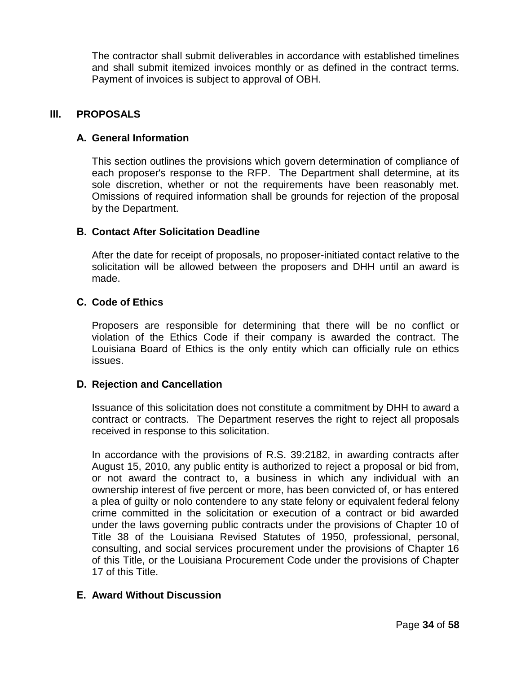The contractor shall submit deliverables in accordance with established timelines and shall submit itemized invoices monthly or as defined in the contract terms. Payment of invoices is subject to approval of OBH.

## **III. PROPOSALS**

## **A. General Information**

This section outlines the provisions which govern determination of compliance of each proposer's response to the RFP. The Department shall determine, at its sole discretion, whether or not the requirements have been reasonably met. Omissions of required information shall be grounds for rejection of the proposal by the Department.

## **B. Contact After Solicitation Deadline**

After the date for receipt of proposals, no proposer-initiated contact relative to the solicitation will be allowed between the proposers and DHH until an award is made.

## **C. Code of Ethics**

Proposers are responsible for determining that there will be no conflict or violation of the Ethics Code if their company is awarded the contract. The Louisiana Board of Ethics is the only entity which can officially rule on ethics issues.

## **D. Rejection and Cancellation**

Issuance of this solicitation does not constitute a commitment by DHH to award a contract or contracts. The Department reserves the right to reject all proposals received in response to this solicitation.

In accordance with the provisions of R.S. 39:2182, in awarding contracts after August 15, 2010, any public entity is authorized to reject a proposal or bid from, or not award the contract to, a business in which any individual with an ownership interest of five percent or more, has been convicted of, or has entered a plea of guilty or nolo contendere to any state felony or equivalent federal felony crime committed in the solicitation or execution of a contract or bid awarded under the laws governing public contracts under the provisions of Chapter 10 of Title 38 of the Louisiana Revised Statutes of 1950, professional, personal, consulting, and social services procurement under the provisions of Chapter 16 of this Title, or the Louisiana Procurement Code under the provisions of Chapter 17 of this Title.

# **E. Award Without Discussion**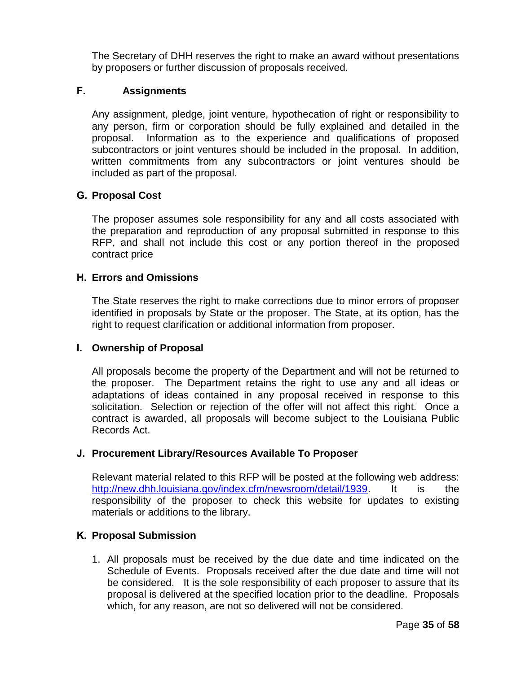The Secretary of DHH reserves the right to make an award without presentations by proposers or further discussion of proposals received.

## **F. Assignments**

Any assignment, pledge, joint venture, hypothecation of right or responsibility to any person, firm or corporation should be fully explained and detailed in the proposal. Information as to the experience and qualifications of proposed subcontractors or joint ventures should be included in the proposal. In addition, written commitments from any subcontractors or joint ventures should be included as part of the proposal.

## **G. Proposal Cost**

The proposer assumes sole responsibility for any and all costs associated with the preparation and reproduction of any proposal submitted in response to this RFP, and shall not include this cost or any portion thereof in the proposed contract price

## **H. Errors and Omissions**

The State reserves the right to make corrections due to minor errors of proposer identified in proposals by State or the proposer. The State, at its option, has the right to request clarification or additional information from proposer.

## **I. Ownership of Proposal**

All proposals become the property of the Department and will not be returned to the proposer. The Department retains the right to use any and all ideas or adaptations of ideas contained in any proposal received in response to this solicitation. Selection or rejection of the offer will not affect this right. Once a contract is awarded, all proposals will become subject to the Louisiana Public Records Act.

## **J. Procurement Library/Resources Available To Proposer**

Relevant material related to this RFP will be posted at the following web address: [http://new.dhh.louisiana.gov/index.cfm/newsroom/detail/1939.](http://new.dhh.louisiana.gov/index.cfm/newsroom/detail/1939) It is the responsibility of the proposer to check this website for updates to existing materials or additions to the library.

## **K. Proposal Submission**

1. All proposals must be received by the due date and time indicated on the Schedule of Events. Proposals received after the due date and time will not be considered. It is the sole responsibility of each proposer to assure that its proposal is delivered at the specified location prior to the deadline. Proposals which, for any reason, are not so delivered will not be considered.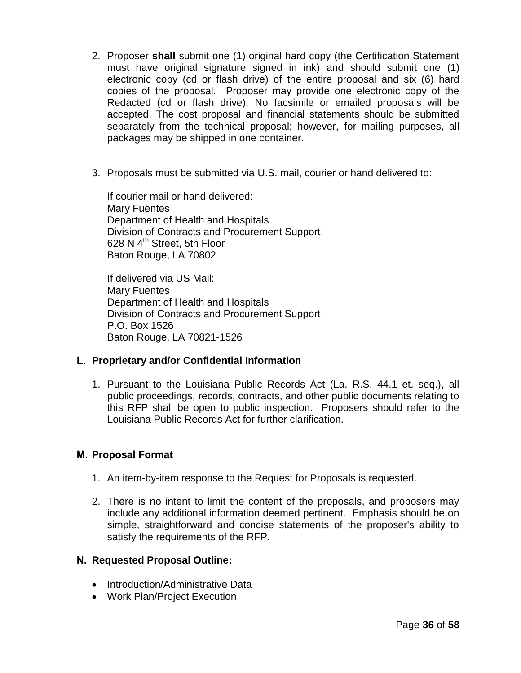- 2. Proposer **shall** submit one (1) original hard copy (the Certification Statement must have original signature signed in ink) and should submit one (1) electronic copy (cd or flash drive) of the entire proposal and six (6) hard copies of the proposal. Proposer may provide one electronic copy of the Redacted (cd or flash drive). No facsimile or emailed proposals will be accepted. The cost proposal and financial statements should be submitted separately from the technical proposal; however, for mailing purposes, all packages may be shipped in one container.
- 3. Proposals must be submitted via U.S. mail, courier or hand delivered to:

If courier mail or hand delivered: Mary Fuentes Department of Health and Hospitals Division of Contracts and Procurement Support 628 N  $4<sup>th</sup>$  Street, 5th Floor Baton Rouge, LA 70802

If delivered via US Mail: Mary Fuentes Department of Health and Hospitals Division of Contracts and Procurement Support P.O. Box 1526 Baton Rouge, LA 70821-1526

# **L. Proprietary and/or Confidential Information**

1. Pursuant to the Louisiana Public Records Act (La. R.S. 44.1 et. seq.), all public proceedings, records, contracts, and other public documents relating to this RFP shall be open to public inspection. Proposers should refer to the Louisiana Public Records Act for further clarification.

## **M. Proposal Format**

- 1. An item-by-item response to the Request for Proposals is requested.
- 2. There is no intent to limit the content of the proposals, and proposers may include any additional information deemed pertinent. Emphasis should be on simple, straightforward and concise statements of the proposer's ability to satisfy the requirements of the RFP.

## **N. Requested Proposal Outline:**

- Introduction/Administrative Data
- Work Plan/Project Execution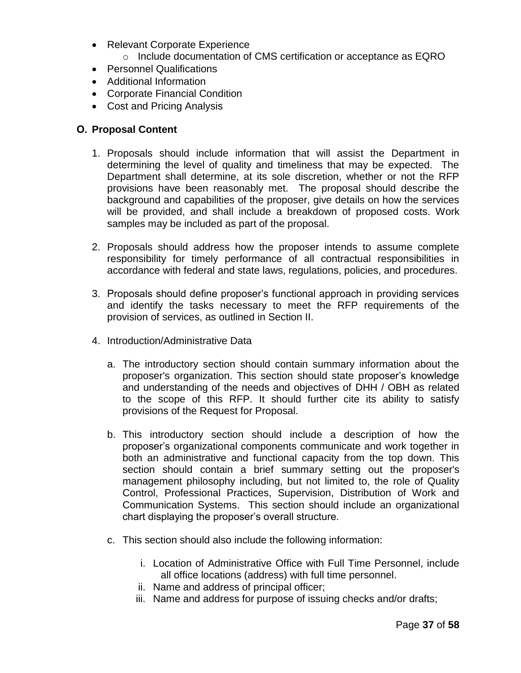- Relevant Corporate Experience
	- o Include documentation of CMS certification or acceptance as EQRO
- Personnel Qualifications
- Additional Information
- Corporate Financial Condition
- Cost and Pricing Analysis

# **O. Proposal Content**

- 1. Proposals should include information that will assist the Department in determining the level of quality and timeliness that may be expected. The Department shall determine, at its sole discretion, whether or not the RFP provisions have been reasonably met. The proposal should describe the background and capabilities of the proposer, give details on how the services will be provided, and shall include a breakdown of proposed costs. Work samples may be included as part of the proposal.
- 2. Proposals should address how the proposer intends to assume complete responsibility for timely performance of all contractual responsibilities in accordance with federal and state laws, regulations, policies, and procedures.
- 3. Proposals should define proposer"s functional approach in providing services and identify the tasks necessary to meet the RFP requirements of the provision of services, as outlined in Section II.
- 4. Introduction/Administrative Data
	- a. The introductory section should contain summary information about the proposer's organization. This section should state proposer"s knowledge and understanding of the needs and objectives of DHH / OBH as related to the scope of this RFP. It should further cite its ability to satisfy provisions of the Request for Proposal.
	- b. This introductory section should include a description of how the proposer"s organizational components communicate and work together in both an administrative and functional capacity from the top down. This section should contain a brief summary setting out the proposer's management philosophy including, but not limited to, the role of Quality Control, Professional Practices, Supervision, Distribution of Work and Communication Systems. This section should include an organizational chart displaying the proposer"s overall structure.
	- c. This section should also include the following information:
		- i. Location of Administrative Office with Full Time Personnel, include all office locations (address) with full time personnel.
		- ii. Name and address of principal officer;
		- iii. Name and address for purpose of issuing checks and/or drafts;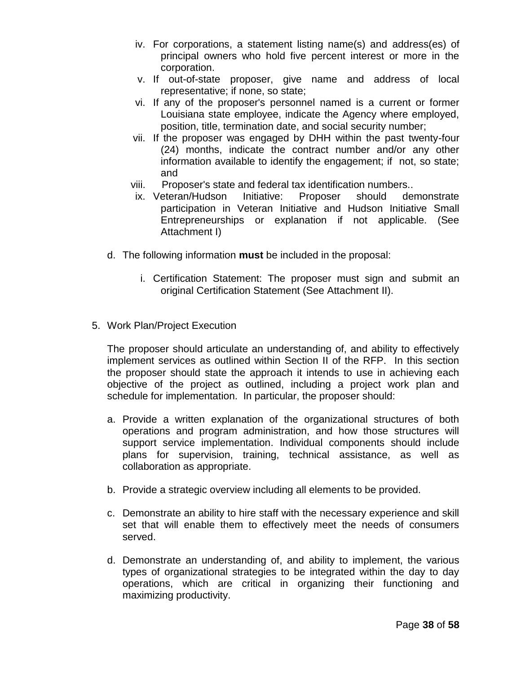- iv. For corporations, a statement listing name(s) and address(es) of principal owners who hold five percent interest or more in the corporation.
- v. If out-of-state proposer, give name and address of local representative; if none, so state;
- vi. If any of the proposer's personnel named is a current or former Louisiana state employee, indicate the Agency where employed, position, title, termination date, and social security number;
- vii. If the proposer was engaged by DHH within the past twenty-four (24) months, indicate the contract number and/or any other information available to identify the engagement; if not, so state; and
- viii. Proposer's state and federal tax identification numbers..
- ix. Veteran/Hudson Initiative: Proposer should demonstrate participation in Veteran Initiative and Hudson Initiative Small Entrepreneurships or explanation if not applicable. (See Attachment I)
- d. The following information **must** be included in the proposal:
	- i. Certification Statement: The proposer must sign and submit an original Certification Statement (See Attachment II).
- 5. Work Plan/Project Execution

The proposer should articulate an understanding of, and ability to effectively implement services as outlined within Section II of the RFP. In this section the proposer should state the approach it intends to use in achieving each objective of the project as outlined, including a project work plan and schedule for implementation. In particular, the proposer should:

- a. Provide a written explanation of the organizational structures of both operations and program administration, and how those structures will support service implementation. Individual components should include plans for supervision, training, technical assistance, as well as collaboration as appropriate.
- b. Provide a strategic overview including all elements to be provided.
- c. Demonstrate an ability to hire staff with the necessary experience and skill set that will enable them to effectively meet the needs of consumers served.
- d. Demonstrate an understanding of, and ability to implement, the various types of organizational strategies to be integrated within the day to day operations, which are critical in organizing their functioning and maximizing productivity.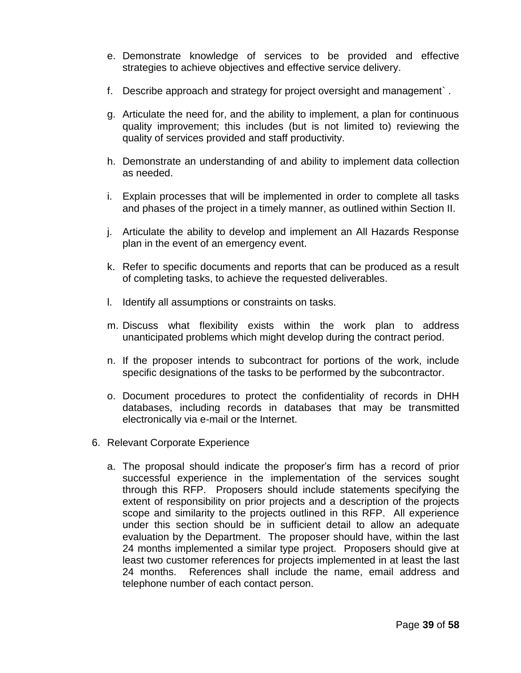- e. Demonstrate knowledge of services to be provided and effective strategies to achieve objectives and effective service delivery.
- f. Describe approach and strategy for project oversight and management` .
- g. Articulate the need for, and the ability to implement, a plan for continuous quality improvement; this includes (but is not limited to) reviewing the quality of services provided and staff productivity.
- h. Demonstrate an understanding of and ability to implement data collection as needed.
- i. Explain processes that will be implemented in order to complete all tasks and phases of the project in a timely manner, as outlined within Section II.
- j. Articulate the ability to develop and implement an All Hazards Response plan in the event of an emergency event.
- k. Refer to specific documents and reports that can be produced as a result of completing tasks, to achieve the requested deliverables.
- l. Identify all assumptions or constraints on tasks.
- m. Discuss what flexibility exists within the work plan to address unanticipated problems which might develop during the contract period.
- n. If the proposer intends to subcontract for portions of the work, include specific designations of the tasks to be performed by the subcontractor.
- o. Document procedures to protect the confidentiality of records in DHH databases, including records in databases that may be transmitted electronically via e-mail or the Internet.
- 6. Relevant Corporate Experience
	- a. The proposal should indicate the proposer"s firm has a record of prior successful experience in the implementation of the services sought through this RFP. Proposers should include statements specifying the extent of responsibility on prior projects and a description of the projects scope and similarity to the projects outlined in this RFP. All experience under this section should be in sufficient detail to allow an adequate evaluation by the Department. The proposer should have, within the last 24 months implemented a similar type project. Proposers should give at least two customer references for projects implemented in at least the last 24 months. References shall include the name, email address and telephone number of each contact person.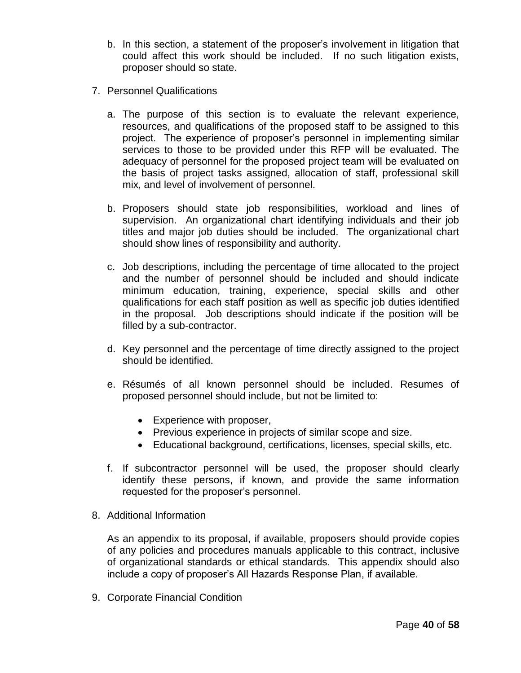- b. In this section, a statement of the proposer"s involvement in litigation that could affect this work should be included. If no such litigation exists, proposer should so state.
- 7. Personnel Qualifications
	- a. The purpose of this section is to evaluate the relevant experience, resources, and qualifications of the proposed staff to be assigned to this project. The experience of proposer"s personnel in implementing similar services to those to be provided under this RFP will be evaluated. The adequacy of personnel for the proposed project team will be evaluated on the basis of project tasks assigned, allocation of staff, professional skill mix, and level of involvement of personnel.
	- b. Proposers should state job responsibilities, workload and lines of supervision. An organizational chart identifying individuals and their job titles and major job duties should be included. The organizational chart should show lines of responsibility and authority.
	- c. Job descriptions, including the percentage of time allocated to the project and the number of personnel should be included and should indicate minimum education, training, experience, special skills and other qualifications for each staff position as well as specific job duties identified in the proposal. Job descriptions should indicate if the position will be filled by a sub-contractor.
	- d. Key personnel and the percentage of time directly assigned to the project should be identified.
	- e. Résumés of all known personnel should be included. Resumes of proposed personnel should include, but not be limited to:
		- Experience with proposer,
		- Previous experience in projects of similar scope and size.
		- Educational background, certifications, licenses, special skills, etc.
	- f. If subcontractor personnel will be used, the proposer should clearly identify these persons, if known, and provide the same information requested for the proposer"s personnel.
- 8. Additional Information

As an appendix to its proposal, if available, proposers should provide copies of any policies and procedures manuals applicable to this contract, inclusive of organizational standards or ethical standards. This appendix should also include a copy of proposer"s All Hazards Response Plan, if available.

9. Corporate Financial Condition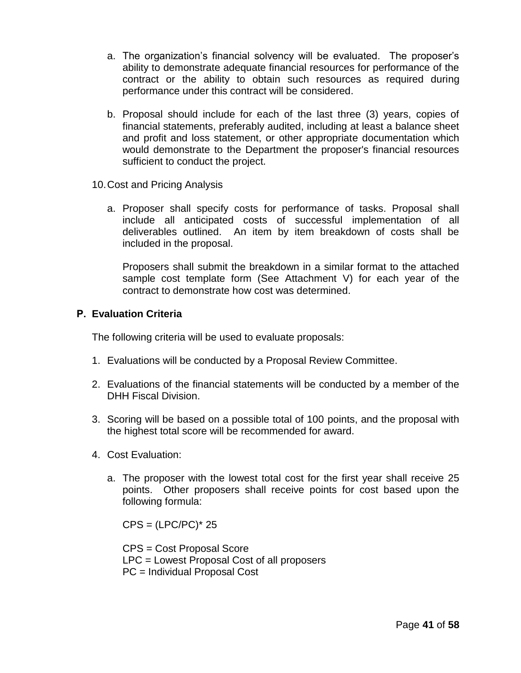- a. The organization's financial solvency will be evaluated. The proposer's ability to demonstrate adequate financial resources for performance of the contract or the ability to obtain such resources as required during performance under this contract will be considered.
- b. Proposal should include for each of the last three (3) years, copies of financial statements, preferably audited, including at least a balance sheet and profit and loss statement, or other appropriate documentation which would demonstrate to the Department the proposer's financial resources sufficient to conduct the project.
- 10.Cost and Pricing Analysis
	- a. Proposer shall specify costs for performance of tasks. Proposal shall include all anticipated costs of successful implementation of all deliverables outlined. An item by item breakdown of costs shall be included in the proposal.

Proposers shall submit the breakdown in a similar format to the attached sample cost template form (See Attachment V) for each year of the contract to demonstrate how cost was determined.

## **P. Evaluation Criteria**

The following criteria will be used to evaluate proposals:

- 1. Evaluations will be conducted by a Proposal Review Committee.
- 2. Evaluations of the financial statements will be conducted by a member of the DHH Fiscal Division.
- 3. Scoring will be based on a possible total of 100 points, and the proposal with the highest total score will be recommended for award.
- 4. Cost Evaluation:
	- a. The proposer with the lowest total cost for the first year shall receive 25 points. Other proposers shall receive points for cost based upon the following formula:

 $CPS = (LPC/PC)^* 25$ 

CPS = Cost Proposal Score LPC = Lowest Proposal Cost of all proposers PC = Individual Proposal Cost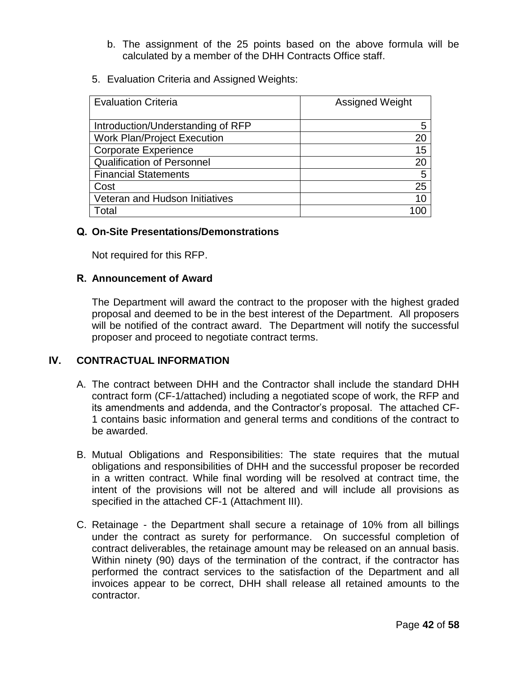- b. The assignment of the 25 points based on the above formula will be calculated by a member of the DHH Contracts Office staff.
- 5. Evaluation Criteria and Assigned Weights:

| <b>Evaluation Criteria</b>         | <b>Assigned Weight</b> |
|------------------------------------|------------------------|
|                                    |                        |
| Introduction/Understanding of RFP  | 5                      |
| <b>Work Plan/Project Execution</b> | 20                     |
| <b>Corporate Experience</b>        | 15                     |
| <b>Qualification of Personnel</b>  | 20                     |
| <b>Financial Statements</b>        | 5                      |
| Cost                               | 25                     |
| Veteran and Hudson Initiatives     | 10                     |
| Гоtal                              |                        |

## **Q. On-Site Presentations/Demonstrations**

Not required for this RFP.

## **R. Announcement of Award**

The Department will award the contract to the proposer with the highest graded proposal and deemed to be in the best interest of the Department. All proposers will be notified of the contract award. The Department will notify the successful proposer and proceed to negotiate contract terms.

# **IV. CONTRACTUAL INFORMATION**

- A. The contract between DHH and the Contractor shall include the standard DHH contract form (CF-1/attached) including a negotiated scope of work, the RFP and its amendments and addenda, and the Contractor"s proposal. The attached CF-1 contains basic information and general terms and conditions of the contract to be awarded.
- B. Mutual Obligations and Responsibilities: The state requires that the mutual obligations and responsibilities of DHH and the successful proposer be recorded in a written contract. While final wording will be resolved at contract time, the intent of the provisions will not be altered and will include all provisions as specified in the attached CF-1 (Attachment III).
- C. Retainage the Department shall secure a retainage of 10% from all billings under the contract as surety for performance. On successful completion of contract deliverables, the retainage amount may be released on an annual basis. Within ninety (90) days of the termination of the contract, if the contractor has performed the contract services to the satisfaction of the Department and all invoices appear to be correct, DHH shall release all retained amounts to the contractor.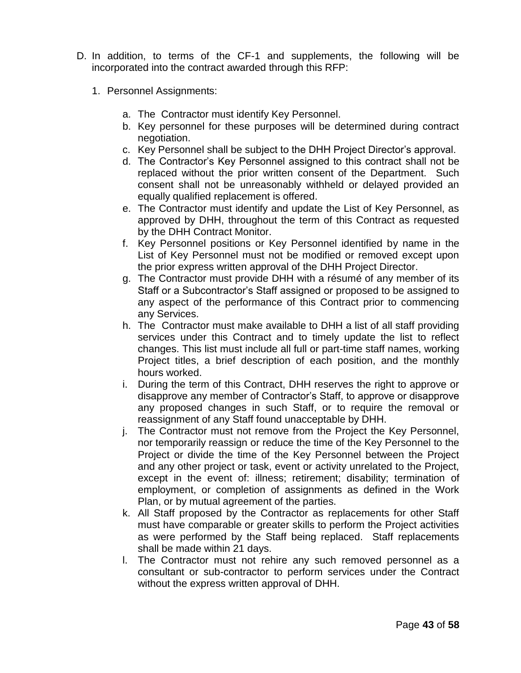- D. In addition, to terms of the CF-1 and supplements, the following will be incorporated into the contract awarded through this RFP:
	- 1. Personnel Assignments:
		- a. The Contractor must identify Key Personnel.
		- b. Key personnel for these purposes will be determined during contract negotiation.
		- c. Key Personnel shall be subject to the DHH Project Director"s approval.
		- d. The Contractor"s Key Personnel assigned to this contract shall not be replaced without the prior written consent of the Department. Such consent shall not be unreasonably withheld or delayed provided an equally qualified replacement is offered.
		- e. The Contractor must identify and update the List of Key Personnel, as approved by DHH, throughout the term of this Contract as requested by the DHH Contract Monitor.
		- f. Key Personnel positions or Key Personnel identified by name in the List of Key Personnel must not be modified or removed except upon the prior express written approval of the DHH Project Director.
		- g. The Contractor must provide DHH with a résumé of any member of its Staff or a Subcontractor's Staff assigned or proposed to be assigned to any aspect of the performance of this Contract prior to commencing any Services.
		- h. The Contractor must make available to DHH a list of all staff providing services under this Contract and to timely update the list to reflect changes. This list must include all full or part-time staff names, working Project titles, a brief description of each position, and the monthly hours worked.
		- i. During the term of this Contract, DHH reserves the right to approve or disapprove any member of Contractor"s Staff, to approve or disapprove any proposed changes in such Staff, or to require the removal or reassignment of any Staff found unacceptable by DHH.
		- j. The Contractor must not remove from the Project the Key Personnel, nor temporarily reassign or reduce the time of the Key Personnel to the Project or divide the time of the Key Personnel between the Project and any other project or task, event or activity unrelated to the Project, except in the event of: illness; retirement; disability; termination of employment, or completion of assignments as defined in the Work Plan, or by mutual agreement of the parties.
		- k. All Staff proposed by the Contractor as replacements for other Staff must have comparable or greater skills to perform the Project activities as were performed by the Staff being replaced. Staff replacements shall be made within 21 days.
		- l. The Contractor must not rehire any such removed personnel as a consultant or sub-contractor to perform services under the Contract without the express written approval of DHH.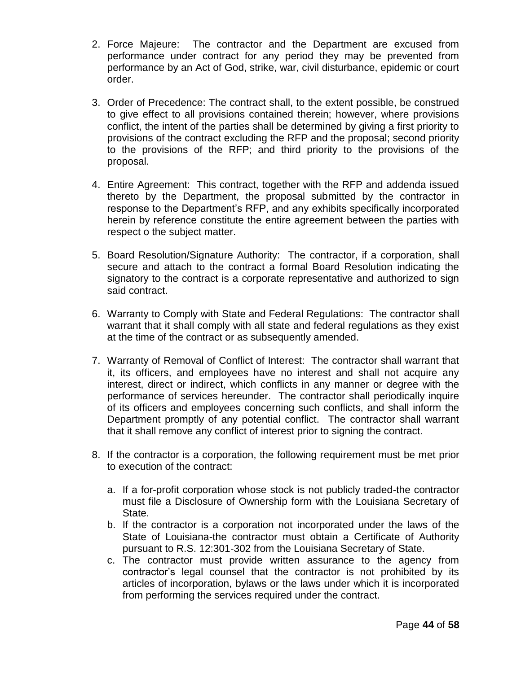- 2. Force Majeure: The contractor and the Department are excused from performance under contract for any period they may be prevented from performance by an Act of God, strike, war, civil disturbance, epidemic or court order.
- 3. Order of Precedence: The contract shall, to the extent possible, be construed to give effect to all provisions contained therein; however, where provisions conflict, the intent of the parties shall be determined by giving a first priority to provisions of the contract excluding the RFP and the proposal; second priority to the provisions of the RFP; and third priority to the provisions of the proposal.
- 4. Entire Agreement: This contract, together with the RFP and addenda issued thereto by the Department, the proposal submitted by the contractor in response to the Department"s RFP, and any exhibits specifically incorporated herein by reference constitute the entire agreement between the parties with respect o the subject matter.
- 5. Board Resolution/Signature Authority: The contractor, if a corporation, shall secure and attach to the contract a formal Board Resolution indicating the signatory to the contract is a corporate representative and authorized to sign said contract.
- 6. Warranty to Comply with State and Federal Regulations: The contractor shall warrant that it shall comply with all state and federal regulations as they exist at the time of the contract or as subsequently amended.
- 7. Warranty of Removal of Conflict of Interest: The contractor shall warrant that it, its officers, and employees have no interest and shall not acquire any interest, direct or indirect, which conflicts in any manner or degree with the performance of services hereunder. The contractor shall periodically inquire of its officers and employees concerning such conflicts, and shall inform the Department promptly of any potential conflict. The contractor shall warrant that it shall remove any conflict of interest prior to signing the contract.
- 8. If the contractor is a corporation, the following requirement must be met prior to execution of the contract:
	- a. If a for-profit corporation whose stock is not publicly traded-the contractor must file a Disclosure of Ownership form with the Louisiana Secretary of State.
	- b. If the contractor is a corporation not incorporated under the laws of the State of Louisiana-the contractor must obtain a Certificate of Authority pursuant to R.S. 12:301-302 from the Louisiana Secretary of State.
	- c. The contractor must provide written assurance to the agency from contractor"s legal counsel that the contractor is not prohibited by its articles of incorporation, bylaws or the laws under which it is incorporated from performing the services required under the contract.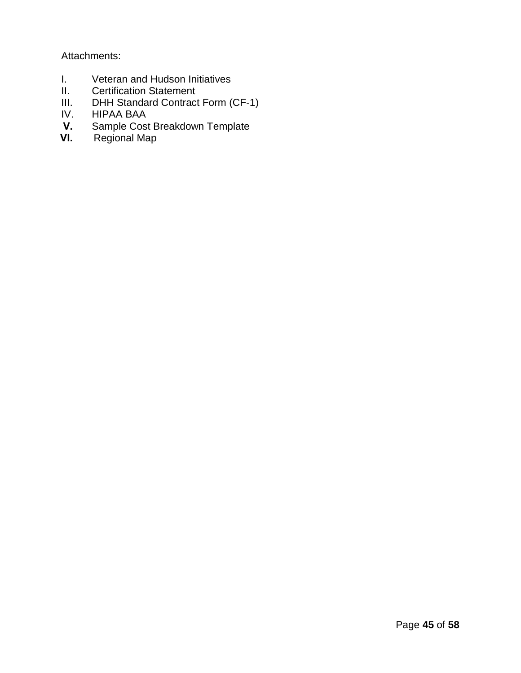Attachments:

- I. Veteran and Hudson Initiatives
- II. Certification Statement
- III. DHH Standard Contract Form (CF-1)<br>IV. HIPAA BAA
- IV. HIPAA BAA<br>V. Sample Cost
- **V.** Sample Cost Breakdown Template
- **VI.** Regional Map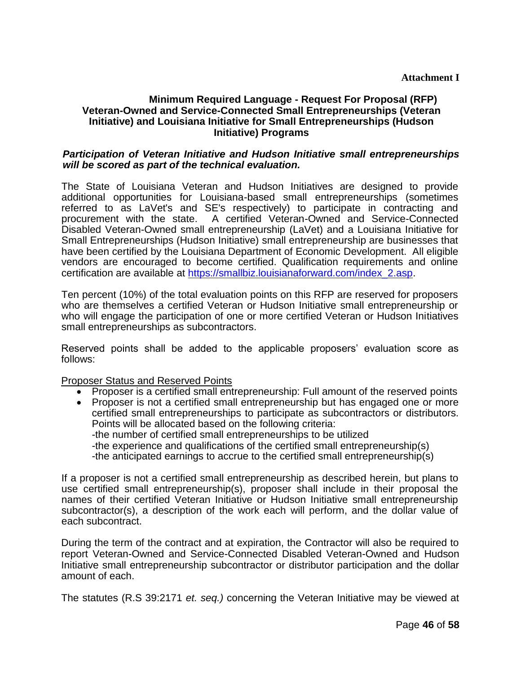#### **Minimum Required Language - Request For Proposal (RFP) Veteran-Owned and Service-Connected Small Entrepreneurships (Veteran Initiative) and Louisiana Initiative for Small Entrepreneurships (Hudson Initiative) Programs**

#### *Participation of Veteran Initiative and Hudson Initiative small entrepreneurships will be scored as part of the technical evaluation.*

The State of Louisiana Veteran and Hudson Initiatives are designed to provide additional opportunities for Louisiana-based small entrepreneurships (sometimes referred to as LaVet's and SE's respectively) to participate in contracting and procurement with the state. A certified Veteran-Owned and Service-Connected Disabled Veteran-Owned small entrepreneurship (LaVet) and a Louisiana Initiative for Small Entrepreneurships (Hudson Initiative) small entrepreneurship are businesses that have been certified by the Louisiana Department of Economic Development. All eligible vendors are encouraged to become certified. Qualification requirements and online certification are available at [https://smallbiz.louisianaforward.com/index\\_2.asp.](https://smallbiz.louisianaforward.com/index_2.asp)

Ten percent (10%) of the total evaluation points on this RFP are reserved for proposers who are themselves a certified Veteran or Hudson Initiative small entrepreneurship or who will engage the participation of one or more certified Veteran or Hudson Initiatives small entrepreneurships as subcontractors.

Reserved points shall be added to the applicable proposers' evaluation score as follows:

Proposer Status and Reserved Points

- Proposer is a certified small entrepreneurship: Full amount of the reserved points
- Proposer is not a certified small entrepreneurship but has engaged one or more certified small entrepreneurships to participate as subcontractors or distributors. Points will be allocated based on the following criteria: -the number of certified small entrepreneurships to be utilized -the experience and qualifications of the certified small entrepreneurship(s) -the anticipated earnings to accrue to the certified small entrepreneurship(s)

If a proposer is not a certified small entrepreneurship as described herein, but plans to use certified small entrepreneurship(s), proposer shall include in their proposal the names of their certified Veteran Initiative or Hudson Initiative small entrepreneurship subcontractor(s), a description of the work each will perform, and the dollar value of each subcontract.

During the term of the contract and at expiration, the Contractor will also be required to report Veteran-Owned and Service-Connected Disabled Veteran-Owned and Hudson Initiative small entrepreneurship subcontractor or distributor participation and the dollar amount of each.

The statutes (R.S 39:2171 *et. seq.)* concerning the Veteran Initiative may be viewed at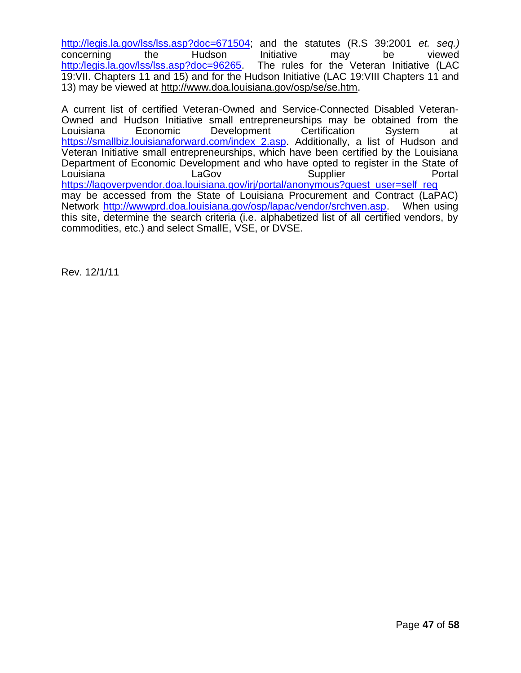[http://legis.la.gov/lss/lss.asp?doc=671504;](http://legis.la.gov/lss/lss.asp?doc=671504) and the statutes (R.S 39:2001 *et. seq.)*  concerning the Hudson Initiative may be viewed [http:/legis.la.gov/lss/lss.asp?doc=96265.](http://legis.la.gov/lss/lss.asp?doc=96265) The rules for the Veteran Initiative (LAC 19:VII. Chapters 11 and 15) and for the Hudson Initiative (LAC 19:VIII Chapters 11 and 13) may be viewed at http://www.doa.louisiana.gov/osp/se/se.htm.

A current list of certified Veteran-Owned and Service-Connected Disabled Veteran-Owned and Hudson Initiative small entrepreneurships may be obtained from the Louisiana Economic Development Certification System at [https://smallbiz.louisianaforward.com/index\\_2.asp.](https://smallbiz.louisianaforward.com/index_2.asp) Additionally, a list of Hudson and Veteran Initiative small entrepreneurships, which have been certified by the Louisiana Department of Economic Development and who have opted to register in the State of Louisiana LaGov Supplier Portal [https://lagoverpvendor.doa.louisiana.gov/irj/portal/anonymous?guest\\_user=self\\_reg](https://lagoverpvendor.doa.louisiana.gov/irj/portal/anonymous?guest_user=self_reg) may be accessed from the State of Louisiana Procurement and Contract (LaPAC) Network [http://wwwprd.doa.louisiana.gov/osp/lapac/vendor/srchven.asp.](http://wwwprd.doa.louisiana.gov/osp/lapac/vendor/srchven.asp) When using this site, determine the search criteria (i.e. alphabetized list of all certified vendors, by commodities, etc.) and select SmallE, VSE, or DVSE.

Rev. 12/1/11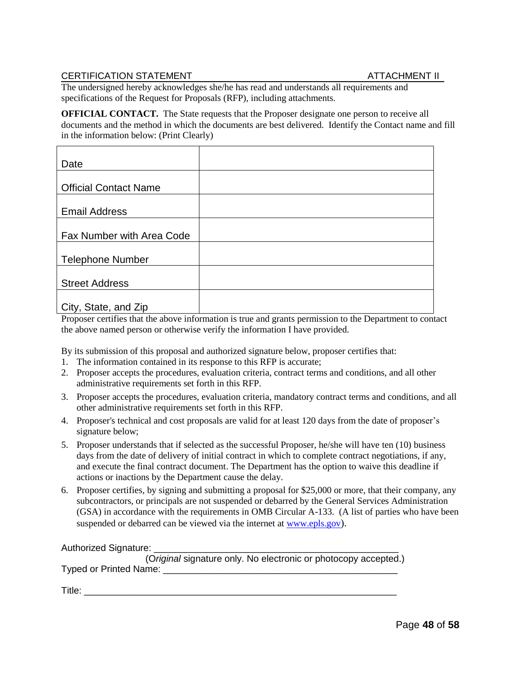#### CERTIFICATION STATEMENT ATTACHMENT II

The undersigned hereby acknowledges she/he has read and understands all requirements and specifications of the Request for Proposals (RFP), including attachments.

**OFFICIAL CONTACT.** The State requests that the Proposer designate one person to receive all documents and the method in which the documents are best delivered. Identify the Contact name and fill in the information below: (Print Clearly)

| Date                         |  |
|------------------------------|--|
|                              |  |
| <b>Official Contact Name</b> |  |
| <b>Email Address</b>         |  |
|                              |  |
| Fax Number with Area Code    |  |
|                              |  |
| <b>Telephone Number</b>      |  |
|                              |  |
| <b>Street Address</b>        |  |
|                              |  |
| City, State, and Zip         |  |

Proposer certifies that the above information is true and grants permission to the Department to contact the above named person or otherwise verify the information I have provided.

By its submission of this proposal and authorized signature below, proposer certifies that:

- 1. The information contained in its response to this RFP is accurate;
- 2. Proposer accepts the procedures, evaluation criteria, contract terms and conditions, and all other administrative requirements set forth in this RFP.
- 3. Proposer accepts the procedures, evaluation criteria, mandatory contract terms and conditions, and all other administrative requirements set forth in this RFP.
- 4. Proposer's technical and cost proposals are valid for at least 120 days from the date of proposer's signature below;
- 5. Proposer understands that if selected as the successful Proposer, he/she will have ten (10) business days from the date of delivery of initial contract in which to complete contract negotiations, if any, and execute the final contract document. The Department has the option to waive this deadline if actions or inactions by the Department cause the delay.
- 6. Proposer certifies, by signing and submitting a proposal for \$25,000 or more, that their company, any subcontractors, or principals are not suspended or debarred by the General Services Administration (GSA) in accordance with the requirements in OMB Circular A-133. (A list of parties who have been suspended or debarred can be viewed via the internet at [www.epls.gov](http://www.epls.gov/)).

Authorized Signature:

(O*riginal* signature only. No electronic or photocopy accepted.) Typed or Printed Name: \_\_\_\_\_\_\_\_\_\_\_\_\_\_\_\_\_\_\_\_\_\_\_\_\_\_\_\_\_\_\_\_\_\_\_\_\_\_\_\_\_\_\_\_\_

Title: \_\_\_\_\_\_\_\_\_\_\_\_\_\_\_\_\_\_\_\_\_\_\_\_\_\_\_\_\_\_\_\_\_\_\_\_\_\_\_\_\_\_\_\_\_\_\_\_\_\_\_\_\_\_\_\_\_\_\_\_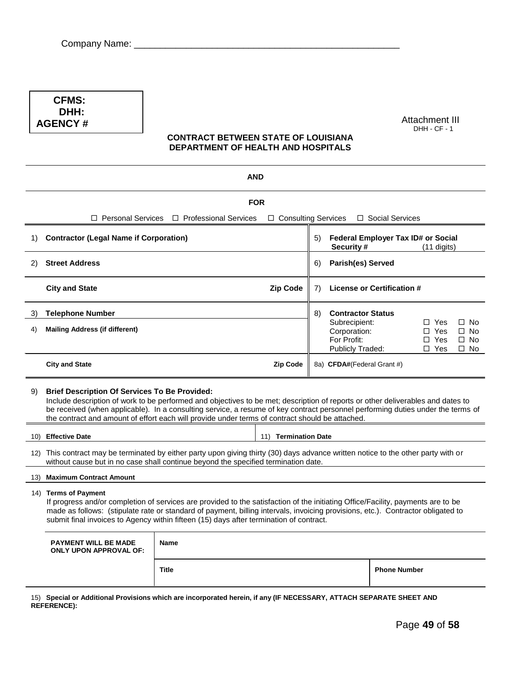**CFMS: DHH: AGENCY #**

Attachment III DHH - CF - 1

#### **CONTRACT BETWEEN STATE OF LOUISIANA DEPARTMENT OF HEALTH AND HOSPITALS**

|    |                                                                                                                                                                                                                                                                                                                                                                                                                               | <b>AND</b>              |                       |    |                                                                         |                                    |                                                      |                                                     |
|----|-------------------------------------------------------------------------------------------------------------------------------------------------------------------------------------------------------------------------------------------------------------------------------------------------------------------------------------------------------------------------------------------------------------------------------|-------------------------|-----------------------|----|-------------------------------------------------------------------------|------------------------------------|------------------------------------------------------|-----------------------------------------------------|
|    |                                                                                                                                                                                                                                                                                                                                                                                                                               |                         | <b>FOR</b>            |    |                                                                         |                                    |                                                      |                                                     |
|    | $\Box$ Personal Services                                                                                                                                                                                                                                                                                                                                                                                                      | □ Professional Services | □ Consulting Services |    |                                                                         | □ Social Services                  |                                                      |                                                     |
| 1) | <b>Contractor (Legal Name if Corporation)</b>                                                                                                                                                                                                                                                                                                                                                                                 |                         |                       | 5) | Security #                                                              | Federal Employer Tax ID# or Social | $(11$ digits)                                        |                                                     |
| 2) | <b>Street Address</b>                                                                                                                                                                                                                                                                                                                                                                                                         |                         |                       | 6) | Parish(es) Served                                                       |                                    |                                                      |                                                     |
|    | <b>City and State</b>                                                                                                                                                                                                                                                                                                                                                                                                         |                         | <b>Zip Code</b>       | 7) |                                                                         | License or Certification #         |                                                      |                                                     |
| 3) | <b>Telephone Number</b>                                                                                                                                                                                                                                                                                                                                                                                                       |                         |                       | 8) | <b>Contractor Status</b>                                                |                                    |                                                      |                                                     |
| 4) | <b>Mailing Address (if different)</b>                                                                                                                                                                                                                                                                                                                                                                                         |                         |                       |    | Subrecipient:<br>Corporation:<br>For Profit:<br><b>Publicly Traded:</b> |                                    | $\Box$ Yes<br>$\Box$ Yes<br>$\Box$ Yes<br>$\Box$ Yes | $\Box$ No<br>$\square$ No<br>$\Box$ No<br>$\Box$ No |
|    | <b>Zip Code</b><br>8a) CFDA#(Federal Grant #)<br><b>City and State</b>                                                                                                                                                                                                                                                                                                                                                        |                         |                       |    |                                                                         |                                    |                                                      |                                                     |
| 9) | <b>Brief Description Of Services To Be Provided:</b><br>Include description of work to be performed and objectives to be met; description of reports or other deliverables and dates to<br>be received (when applicable). In a consulting service, a resume of key contract personnel performing duties under the terms of<br>the contract and amount of effort each will provide under terms of contract should be attached. |                         |                       |    |                                                                         |                                    |                                                      |                                                     |
|    | 10) Effective Date<br>11) Termination Date                                                                                                                                                                                                                                                                                                                                                                                    |                         |                       |    |                                                                         |                                    |                                                      |                                                     |
|    | 12) This contract may be terminated by either party upon giving thirty (30) days advance written notice to the other party with or<br>without cause but in no case shall continue beyond the specified termination date.                                                                                                                                                                                                      |                         |                       |    |                                                                         |                                    |                                                      |                                                     |
|    | <b>Maximum Contract Amount</b><br>13)                                                                                                                                                                                                                                                                                                                                                                                         |                         |                       |    |                                                                         |                                    |                                                      |                                                     |
|    | 14) Terms of Payment<br>If progress and/or completion of services are provided to the satisfaction of the initiating Office/Facility, payments are to be<br>made as follows: (stipulate rate or standard of payment, billing intervals, invoicing provisions, etc.). Contractor obligated to<br>submit final invoices to Agency within fifteen (15) days after termination of contract.                                       |                         |                       |    |                                                                         |                                    |                                                      |                                                     |
|    | <b>PAYMENT WILL BE MADE</b><br><b>ONLY UPON APPROVAL OF:</b>                                                                                                                                                                                                                                                                                                                                                                  | <b>Name</b>             |                       |    |                                                                         |                                    |                                                      |                                                     |
|    |                                                                                                                                                                                                                                                                                                                                                                                                                               | <b>Title</b>            |                       |    |                                                                         | <b>Phone Number</b>                |                                                      |                                                     |
|    |                                                                                                                                                                                                                                                                                                                                                                                                                               |                         |                       |    |                                                                         |                                    |                                                      |                                                     |

15) **Special or Additional Provisions which are incorporated herein, if any (IF NECESSARY, ATTACH SEPARATE SHEET AND REFERENCE):**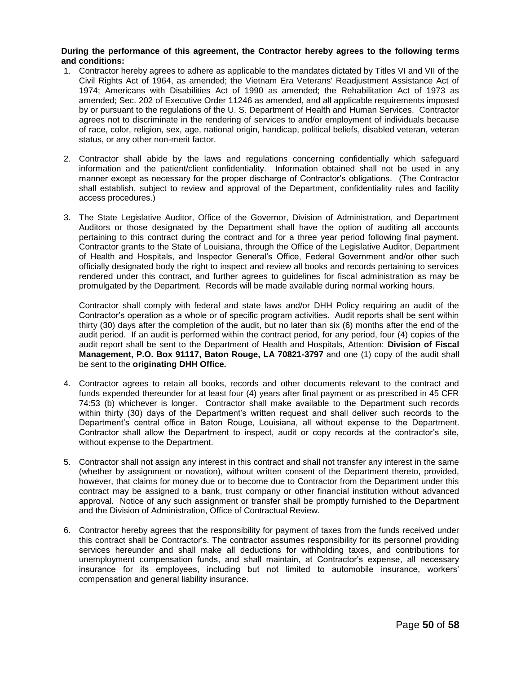#### **During the performance of this agreement, the Contractor hereby agrees to the following terms and conditions:**

- 1. Contractor hereby agrees to adhere as applicable to the mandates dictated by Titles VI and VII of the Civil Rights Act of 1964, as amended; the Vietnam Era Veterans' Readjustment Assistance Act of 1974; Americans with Disabilities Act of 1990 as amended; the Rehabilitation Act of 1973 as amended; Sec. 202 of Executive Order 11246 as amended, and all applicable requirements imposed by or pursuant to the regulations of the U. S. Department of Health and Human Services. Contractor agrees not to discriminate in the rendering of services to and/or employment of individuals because of race, color, religion, sex, age, national origin, handicap, political beliefs, disabled veteran, veteran status, or any other non-merit factor.
- 2. Contractor shall abide by the laws and regulations concerning confidentially which safeguard information and the patient/client confidentiality. Information obtained shall not be used in any manner except as necessary for the proper discharge of Contractor"s obligations. (The Contractor shall establish, subject to review and approval of the Department, confidentiality rules and facility access procedures.)
- 3. The State Legislative Auditor, Office of the Governor, Division of Administration, and Department Auditors or those designated by the Department shall have the option of auditing all accounts pertaining to this contract during the contract and for a three year period following final payment. Contractor grants to the State of Louisiana, through the Office of the Legislative Auditor, Department of Health and Hospitals, and Inspector General"s Office, Federal Government and/or other such officially designated body the right to inspect and review all books and records pertaining to services rendered under this contract, and further agrees to guidelines for fiscal administration as may be promulgated by the Department. Records will be made available during normal working hours.

Contractor shall comply with federal and state laws and/or DHH Policy requiring an audit of the Contractor"s operation as a whole or of specific program activities. Audit reports shall be sent within thirty (30) days after the completion of the audit, but no later than six (6) months after the end of the audit period. If an audit is performed within the contract period, for any period, four (4) copies of the audit report shall be sent to the Department of Health and Hospitals, Attention: **Division of Fiscal Management, P.O. Box 91117, Baton Rouge, LA 70821-3797** and one (1) copy of the audit shall be sent to the **originating DHH Office.**

- 4. Contractor agrees to retain all books, records and other documents relevant to the contract and funds expended thereunder for at least four (4) years after final payment or as prescribed in 45 CFR 74:53 (b) whichever is longer. Contractor shall make available to the Department such records within thirty (30) days of the Department's written request and shall deliver such records to the Department"s central office in Baton Rouge, Louisiana, all without expense to the Department. Contractor shall allow the Department to inspect, audit or copy records at the contractor"s site, without expense to the Department.
- 5. Contractor shall not assign any interest in this contract and shall not transfer any interest in the same (whether by assignment or novation), without written consent of the Department thereto, provided, however, that claims for money due or to become due to Contractor from the Department under this contract may be assigned to a bank, trust company or other financial institution without advanced approval. Notice of any such assignment or transfer shall be promptly furnished to the Department and the Division of Administration, Office of Contractual Review.
- 6. Contractor hereby agrees that the responsibility for payment of taxes from the funds received under this contract shall be Contractor's. The contractor assumes responsibility for its personnel providing services hereunder and shall make all deductions for withholding taxes, and contributions for unemployment compensation funds, and shall maintain, at Contractor"s expense, all necessary insurance for its employees, including but not limited to automobile insurance, workers" compensation and general liability insurance.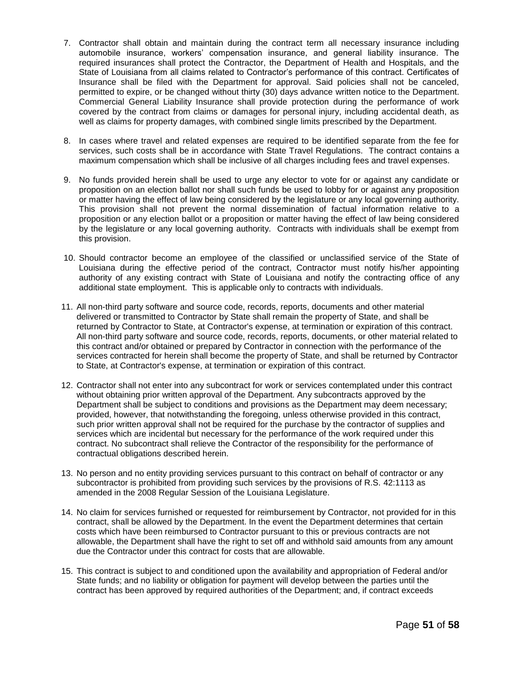- 7. Contractor shall obtain and maintain during the contract term all necessary insurance including automobile insurance, workers" compensation insurance, and general liability insurance. The required insurances shall protect the Contractor, the Department of Health and Hospitals, and the State of Louisiana from all claims related to Contractor's performance of this contract. Certificates of Insurance shall be filed with the Department for approval. Said policies shall not be canceled, permitted to expire, or be changed without thirty (30) days advance written notice to the Department. Commercial General Liability Insurance shall provide protection during the performance of work covered by the contract from claims or damages for personal injury, including accidental death, as well as claims for property damages, with combined single limits prescribed by the Department.
- 8. In cases where travel and related expenses are required to be identified separate from the fee for services, such costs shall be in accordance with State Travel Regulations. The contract contains a maximum compensation which shall be inclusive of all charges including fees and travel expenses.
- 9. No funds provided herein shall be used to urge any elector to vote for or against any candidate or proposition on an election ballot nor shall such funds be used to lobby for or against any proposition or matter having the effect of law being considered by the legislature or any local governing authority. This provision shall not prevent the normal dissemination of factual information relative to a proposition or any election ballot or a proposition or matter having the effect of law being considered by the legislature or any local governing authority. Contracts with individuals shall be exempt from this provision.
- 10. Should contractor become an employee of the classified or unclassified service of the State of Louisiana during the effective period of the contract, Contractor must notify his/her appointing authority of any existing contract with State of Louisiana and notify the contracting office of any additional state employment. This is applicable only to contracts with individuals.
- 11. All non-third party software and source code, records, reports, documents and other material delivered or transmitted to Contractor by State shall remain the property of State, and shall be returned by Contractor to State, at Contractor's expense, at termination or expiration of this contract. All non-third party software and source code, records, reports, documents, or other material related to this contract and/or obtained or prepared by Contractor in connection with the performance of the services contracted for herein shall become the property of State, and shall be returned by Contractor to State, at Contractor's expense, at termination or expiration of this contract.
- 12. Contractor shall not enter into any subcontract for work or services contemplated under this contract without obtaining prior written approval of the Department. Any subcontracts approved by the Department shall be subject to conditions and provisions as the Department may deem necessary; provided, however, that notwithstanding the foregoing, unless otherwise provided in this contract, such prior written approval shall not be required for the purchase by the contractor of supplies and services which are incidental but necessary for the performance of the work required under this contract. No subcontract shall relieve the Contractor of the responsibility for the performance of contractual obligations described herein.
- 13. No person and no entity providing services pursuant to this contract on behalf of contractor or any subcontractor is prohibited from providing such services by the provisions of R.S. 42:1113 as amended in the 2008 Regular Session of the Louisiana Legislature.
- 14. No claim for services furnished or requested for reimbursement by Contractor, not provided for in this contract, shall be allowed by the Department. In the event the Department determines that certain costs which have been reimbursed to Contractor pursuant to this or previous contracts are not allowable, the Department shall have the right to set off and withhold said amounts from any amount due the Contractor under this contract for costs that are allowable.
- 15. This contract is subject to and conditioned upon the availability and appropriation of Federal and/or State funds; and no liability or obligation for payment will develop between the parties until the contract has been approved by required authorities of the Department; and, if contract exceeds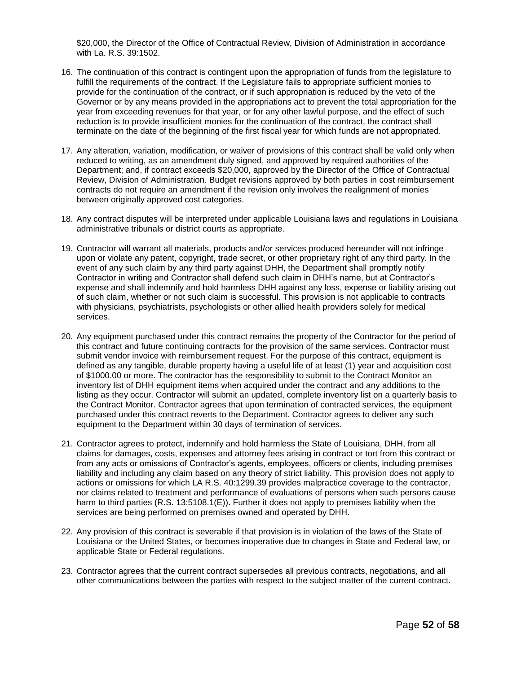\$20,000, the Director of the Office of Contractual Review, Division of Administration in accordance with La. R.S. 39:1502.

- 16. The continuation of this contract is contingent upon the appropriation of funds from the legislature to fulfill the requirements of the contract. If the Legislature fails to appropriate sufficient monies to provide for the continuation of the contract, or if such appropriation is reduced by the veto of the Governor or by any means provided in the appropriations act to prevent the total appropriation for the year from exceeding revenues for that year, or for any other lawful purpose, and the effect of such reduction is to provide insufficient monies for the continuation of the contract, the contract shall terminate on the date of the beginning of the first fiscal year for which funds are not appropriated.
- 17. Any alteration, variation, modification, or waiver of provisions of this contract shall be valid only when reduced to writing, as an amendment duly signed, and approved by required authorities of the Department; and, if contract exceeds \$20,000, approved by the Director of the Office of Contractual Review, Division of Administration. Budget revisions approved by both parties in cost reimbursement contracts do not require an amendment if the revision only involves the realignment of monies between originally approved cost categories.
- 18. Any contract disputes will be interpreted under applicable Louisiana laws and regulations in Louisiana administrative tribunals or district courts as appropriate.
- 19. Contractor will warrant all materials, products and/or services produced hereunder will not infringe upon or violate any patent, copyright, trade secret, or other proprietary right of any third party. In the event of any such claim by any third party against DHH, the Department shall promptly notify Contractor in writing and Contractor shall defend such claim in DHH"s name, but at Contractor"s expense and shall indemnify and hold harmless DHH against any loss, expense or liability arising out of such claim, whether or not such claim is successful. This provision is not applicable to contracts with physicians, psychiatrists, psychologists or other allied health providers solely for medical services.
- 20. Any equipment purchased under this contract remains the property of the Contractor for the period of this contract and future continuing contracts for the provision of the same services. Contractor must submit vendor invoice with reimbursement request. For the purpose of this contract, equipment is defined as any tangible, durable property having a useful life of at least (1) year and acquisition cost of \$1000.00 or more. The contractor has the responsibility to submit to the Contract Monitor an inventory list of DHH equipment items when acquired under the contract and any additions to the listing as they occur. Contractor will submit an updated, complete inventory list on a quarterly basis to the Contract Monitor. Contractor agrees that upon termination of contracted services, the equipment purchased under this contract reverts to the Department. Contractor agrees to deliver any such equipment to the Department within 30 days of termination of services.
- 21. Contractor agrees to protect, indemnify and hold harmless the State of Louisiana, DHH, from all claims for damages, costs, expenses and attorney fees arising in contract or tort from this contract or from any acts or omissions of Contractor"s agents, employees, officers or clients, including premises liability and including any claim based on any theory of strict liability. This provision does not apply to actions or omissions for which LA R.S. 40:1299.39 provides malpractice coverage to the contractor, nor claims related to treatment and performance of evaluations of persons when such persons cause harm to third parties (R.S. 13:5108.1(E)). Further it does not apply to premises liability when the services are being performed on premises owned and operated by DHH.
- 22. Any provision of this contract is severable if that provision is in violation of the laws of the State of Louisiana or the United States, or becomes inoperative due to changes in State and Federal law, or applicable State or Federal regulations.
- 23. Contractor agrees that the current contract supersedes all previous contracts, negotiations, and all other communications between the parties with respect to the subject matter of the current contract.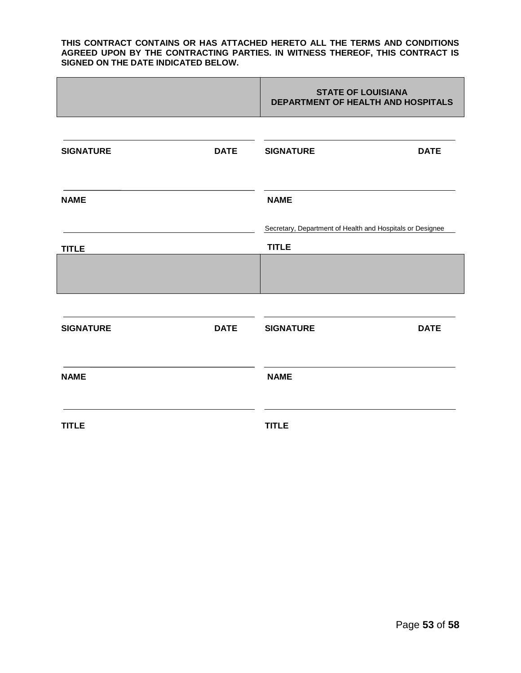#### **THIS CONTRACT CONTAINS OR HAS ATTACHED HERETO ALL THE TERMS AND CONDITIONS AGREED UPON BY THE CONTRACTING PARTIES. IN WITNESS THEREOF, THIS CONTRACT IS SIGNED ON THE DATE INDICATED BELOW.**

|                  |             | <b>STATE OF LOUISIANA</b><br>DEPARTMENT OF HEALTH AND HOSPITALS |             |
|------------------|-------------|-----------------------------------------------------------------|-------------|
|                  |             |                                                                 |             |
| <b>SIGNATURE</b> | <b>DATE</b> | <b>SIGNATURE</b>                                                | <b>DATE</b> |
|                  |             |                                                                 |             |
| <b>NAME</b>      |             | <b>NAME</b>                                                     |             |
|                  |             | Secretary, Department of Health and Hospitals or Designee       |             |
| <b>TITLE</b>     |             | <b>TITLE</b>                                                    |             |
|                  |             |                                                                 |             |
|                  |             |                                                                 |             |
|                  |             |                                                                 |             |
| <b>SIGNATURE</b> | <b>DATE</b> | <b>SIGNATURE</b>                                                | <b>DATE</b> |
|                  |             |                                                                 |             |
| <b>NAME</b>      |             | <b>NAME</b>                                                     |             |
|                  |             |                                                                 |             |
| <b>TITLE</b>     |             | <b>TITLE</b>                                                    |             |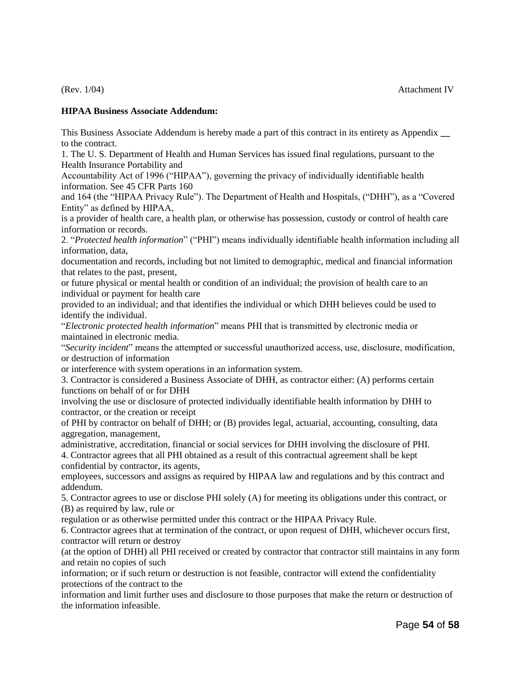#### **HIPAA Business Associate Addendum:**

This Business Associate Addendum is hereby made a part of this contract in its entirety as Appendix **\_\_**  to the contract.

1. The U. S. Department of Health and Human Services has issued final regulations, pursuant to the Health Insurance Portability and

Accountability Act of 1996 ("HIPAA"), governing the privacy of individually identifiable health information. See 45 CFR Parts 160

and 164 (the "HIPAA Privacy Rule"). The Department of Health and Hospitals, ("DHH"), as a "Covered Entity" as defined by HIPAA,

is a provider of health care, a health plan, or otherwise has possession, custody or control of health care information or records.

2. "*Protected health information*" ("PHI") means individually identifiable health information including all information, data,

documentation and records, including but not limited to demographic, medical and financial information that relates to the past, present,

or future physical or mental health or condition of an individual; the provision of health care to an individual or payment for health care

provided to an individual; and that identifies the individual or which DHH believes could be used to identify the individual.

"*Electronic protected health information*" means PHI that is transmitted by electronic media or maintained in electronic media.

"*Security incident*" means the attempted or successful unauthorized access, use, disclosure, modification, or destruction of information

or interference with system operations in an information system.

3. Contractor is considered a Business Associate of DHH, as contractor either: (A) performs certain functions on behalf of or for DHH

involving the use or disclosure of protected individually identifiable health information by DHH to contractor, or the creation or receipt

of PHI by contractor on behalf of DHH; or (B) provides legal, actuarial, accounting, consulting, data aggregation, management,

administrative, accreditation, financial or social services for DHH involving the disclosure of PHI.

4. Contractor agrees that all PHI obtained as a result of this contractual agreement shall be kept confidential by contractor, its agents,

employees, successors and assigns as required by HIPAA law and regulations and by this contract and addendum.

5. Contractor agrees to use or disclose PHI solely (A) for meeting its obligations under this contract, or (B) as required by law, rule or

regulation or as otherwise permitted under this contract or the HIPAA Privacy Rule.

6. Contractor agrees that at termination of the contract, or upon request of DHH, whichever occurs first, contractor will return or destroy

(at the option of DHH) all PHI received or created by contractor that contractor still maintains in any form and retain no copies of such

information; or if such return or destruction is not feasible, contractor will extend the confidentiality protections of the contract to the

information and limit further uses and disclosure to those purposes that make the return or destruction of the information infeasible.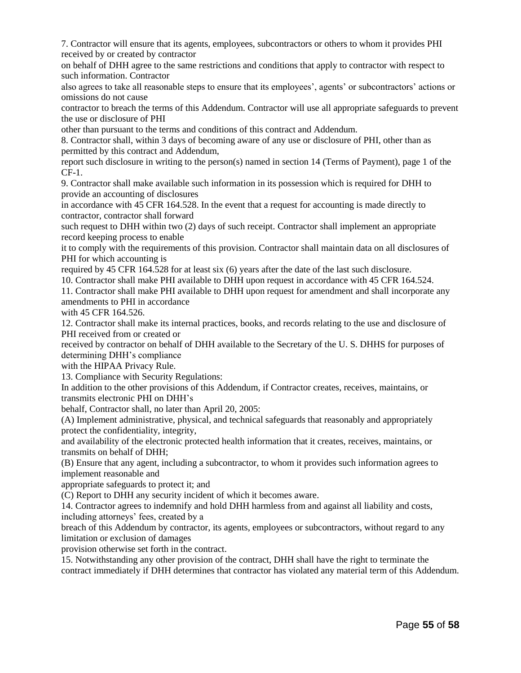7. Contractor will ensure that its agents, employees, subcontractors or others to whom it provides PHI received by or created by contractor

on behalf of DHH agree to the same restrictions and conditions that apply to contractor with respect to such information. Contractor

also agrees to take all reasonable steps to ensure that its employees', agents' or subcontractors' actions or omissions do not cause

contractor to breach the terms of this Addendum. Contractor will use all appropriate safeguards to prevent the use or disclosure of PHI

other than pursuant to the terms and conditions of this contract and Addendum.

8. Contractor shall, within 3 days of becoming aware of any use or disclosure of PHI, other than as permitted by this contract and Addendum,

report such disclosure in writing to the person(s) named in section 14 (Terms of Payment), page 1 of the CF-1.

9. Contractor shall make available such information in its possession which is required for DHH to provide an accounting of disclosures

in accordance with 45 CFR 164.528. In the event that a request for accounting is made directly to contractor, contractor shall forward

such request to DHH within two (2) days of such receipt. Contractor shall implement an appropriate record keeping process to enable

it to comply with the requirements of this provision. Contractor shall maintain data on all disclosures of PHI for which accounting is

required by 45 CFR 164.528 for at least six (6) years after the date of the last such disclosure.

10. Contractor shall make PHI available to DHH upon request in accordance with 45 CFR 164.524.

11. Contractor shall make PHI available to DHH upon request for amendment and shall incorporate any amendments to PHI in accordance

with 45 CFR 164.526.

12. Contractor shall make its internal practices, books, and records relating to the use and disclosure of PHI received from or created or

received by contractor on behalf of DHH available to the Secretary of the U. S. DHHS for purposes of determining DHH's compliance

with the HIPAA Privacy Rule.

13. Compliance with Security Regulations:

In addition to the other provisions of this Addendum, if Contractor creates, receives, maintains, or transmits electronic PHI on DHH's

behalf, Contractor shall, no later than April 20, 2005:

(A) Implement administrative, physical, and technical safeguards that reasonably and appropriately protect the confidentiality, integrity,

and availability of the electronic protected health information that it creates, receives, maintains, or transmits on behalf of DHH;

(B) Ensure that any agent, including a subcontractor, to whom it provides such information agrees to implement reasonable and

appropriate safeguards to protect it; and

(C) Report to DHH any security incident of which it becomes aware.

14. Contractor agrees to indemnify and hold DHH harmless from and against all liability and costs, including attorneys' fees, created by a

breach of this Addendum by contractor, its agents, employees or subcontractors, without regard to any limitation or exclusion of damages

provision otherwise set forth in the contract.

15. Notwithstanding any other provision of the contract, DHH shall have the right to terminate the contract immediately if DHH determines that contractor has violated any material term of this Addendum.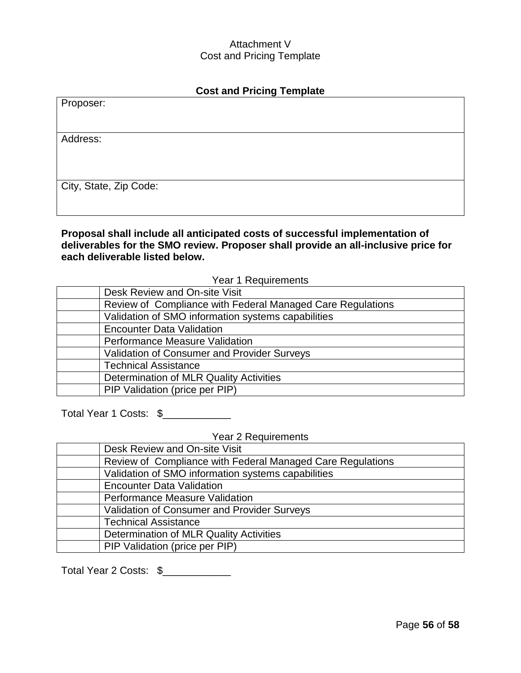#### Attachment V Cost and Pricing Template

| <b>Cost and Pricing Template</b> |  |
|----------------------------------|--|
| Proposer:                        |  |
|                                  |  |
| Address:                         |  |
|                                  |  |
|                                  |  |
| City, State, Zip Code:           |  |
|                                  |  |

**Proposal shall include all anticipated costs of successful implementation of deliverables for the SMO review. Proposer shall provide an all-inclusive price for each deliverable listed below.**

Year 1 Requirements

| Desk Review and On-site Visit                              |
|------------------------------------------------------------|
| Review of Compliance with Federal Managed Care Regulations |
| Validation of SMO information systems capabilities         |
| <b>Encounter Data Validation</b>                           |
| <b>Performance Measure Validation</b>                      |
| Validation of Consumer and Provider Surveys                |
| <b>Technical Assistance</b>                                |
| Determination of MLR Quality Activities                    |
| PIP Validation (price per PIP)                             |

Total Year 1 Costs: \$

Year 2 Requirements

| Desk Review and On-site Visit                              |
|------------------------------------------------------------|
| Review of Compliance with Federal Managed Care Regulations |
| Validation of SMO information systems capabilities         |
| <b>Encounter Data Validation</b>                           |
| <b>Performance Measure Validation</b>                      |
| Validation of Consumer and Provider Surveys                |
| <b>Technical Assistance</b>                                |
| Determination of MLR Quality Activities                    |
| PIP Validation (price per PIP)                             |

Total Year 2 Costs: \$\_\_\_\_\_\_\_\_\_\_\_\_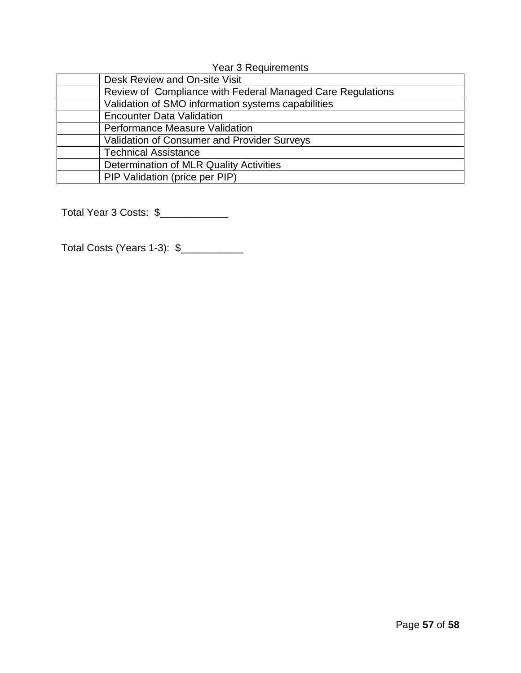Year 3 Requirements

| Desk Review and On-site Visit                              |
|------------------------------------------------------------|
| Review of Compliance with Federal Managed Care Regulations |
| Validation of SMO information systems capabilities         |
| <b>Encounter Data Validation</b>                           |
| <b>Performance Measure Validation</b>                      |
| <b>Validation of Consumer and Provider Surveys</b>         |
| <b>Technical Assistance</b>                                |
| Determination of MLR Quality Activities                    |
| PIP Validation (price per PIP)                             |

Total Year 3 Costs: \$\_\_\_\_\_\_\_\_\_\_\_\_\_

Total Costs (Years 1-3): \$